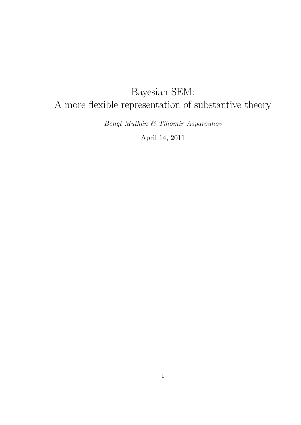# Bayesian SEM: A more flexible representation of substantive theory

Bengt Muthén  $\mathcal C$  Tihomir Asparouhov

April 14, 2011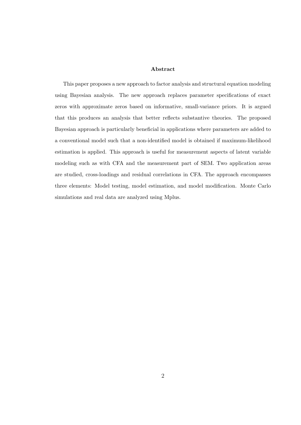#### Abstract

This paper proposes a new approach to factor analysis and structural equation modeling using Bayesian analysis. The new approach replaces parameter specifications of exact zeros with approximate zeros based on informative, small-variance priors. It is argued that this produces an analysis that better reflects substantive theories. The proposed Bayesian approach is particularly beneficial in applications where parameters are added to a conventional model such that a non-identified model is obtained if maximum-likelihood estimation is applied. This approach is useful for measurement aspects of latent variable modeling such as with CFA and the measurement part of SEM. Two application areas are studied, cross-loadings and residual correlations in CFA. The approach encompasses three elements: Model testing, model estimation, and model modification. Monte Carlo simulations and real data are analyzed using Mplus.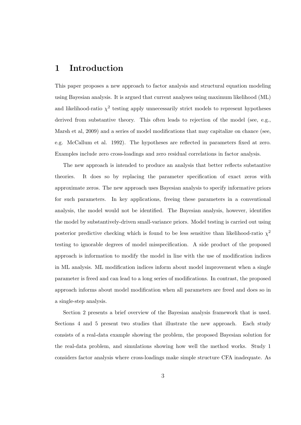## 1 Introduction

This paper proposes a new approach to factor analysis and structural equation modeling using Bayesian analysis. It is argued that current analyses using maximum likelihood (ML) and likelihood-ratio  $\chi^2$  testing apply unnecessarily strict models to represent hypotheses derived from substantive theory. This often leads to rejection of the model (see, e.g., Marsh et al, 2009) and a series of model modifications that may capitalize on chance (see, e.g. McCallum et al. 1992). The hypotheses are reflected in parameters fixed at zero. Examples include zero cross-loadings and zero residual correlations in factor analysis.

The new approach is intended to produce an analysis that better reflects substantive theories. It does so by replacing the parameter specification of exact zeros with approximate zeros. The new approach uses Bayesian analysis to specify informative priors for such parameters. In key applications, freeing these parameters in a conventional analysis, the model would not be identified. The Bayesian analysis, however, identifies the model by substantively-driven small-variance priors. Model testing is carried out using posterior predictive checking which is found to be less sensitive than likelihood-ratio  $\chi^2$ testing to ignorable degrees of model misspecification. A side product of the proposed approach is information to modify the model in line with the use of modification indices in ML analysis. ML modification indices inform about model improvement when a single parameter is freed and can lead to a long series of modifications. In contrast, the proposed approach informs about model modification when all parameters are freed and does so in a single-step analysis.

Section 2 presents a brief overview of the Bayesian analysis framework that is used. Sections 4 and 5 present two studies that illustrate the new approach. Each study consists of a real-data example showing the problem, the proposed Bayesian solution for the real-data problem, and simulations showing how well the method works. Study 1 considers factor analysis where cross-loadings make simple structure CFA inadequate. As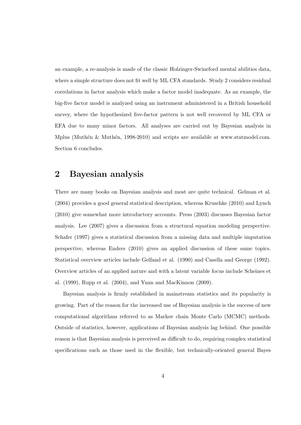an example, a re-analysis is made of the classic Holzinger-Swineford mental abilities data, where a simple structure does not fit well by ML CFA standards. Study 2 considers residual correlations in factor analysis which make a factor model inadequate. As an example, the big-five factor model is analyzed using an instrument administered in a British household survey, where the hypothesized five-factor pattern is not well recovered by ML CFA or EFA due to many minor factors. All analyses are carried out by Bayesian analysis in Mplus (Muthén & Muthén, 1998-2010) and scripts are available at www.statmodel.com. Section 6 concludes.

## 2 Bayesian analysis

There are many books on Bayesian analysis and most are quite technical. Gelman et al. (2004) provides a good general statistical description, whereas Kruschke (2010) and Lynch (2010) give somewhat more introductory accounts. Press (2003) discusses Bayesian factor analysis. Lee (2007) gives a discussion from a structural equation modeling perspective. Schafer (1997) gives a statistical discussion from a missing data and multiple imputation perspective, whereas Enders (2010) gives an applied discussion of these same topics. Statistical overview articles include Gelfand et al. (1990) and Casella and George (1992). Overview articles of an applied nature and with a latent variable focus include Scheines et al. (1999), Rupp et al. (2004), and Yuan and MacKinnon (2009).

Bayesian analysis is firmly established in mainstream statistics and its popularity is growing. Part of the reason for the increased use of Bayesian analysis is the success of new computational algorithms referred to as Markov chain Monte Carlo (MCMC) methods. Outside of statistics, however, applications of Bayesian analysis lag behind. One possible reason is that Bayesian analysis is perceived as difficult to do, requiring complex statistical specifications such as those used in the flexible, but technically-oriented general Bayes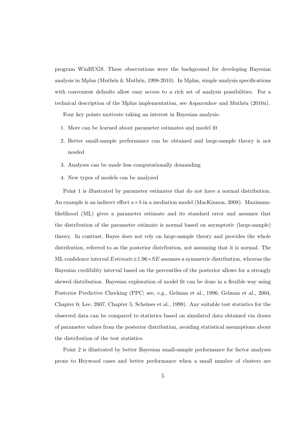program WinBUGS. These observations were the background for developing Bayesian analysis in Mplus (Muthén  $\&$  Muthén, 1998-2010). In Mplus, simple analysis specifications with convenient defaults allow easy access to a rich set of analysis possibilities. For a technical description of the Mplus implementation, see Asparouhov and Muthén  $(2010a)$ .

Four key points motivate taking an interest in Bayesian analysis:

- 1. More can be learned about parameter estimates and model fit
- 2. Better small-sample performance can be obtained and large-sample theory is not needed
- 3. Analyses can be made less computationally demanding
- 4. New types of models can be analyzed

Point 1 is illustrated by parameter estimates that do not have a normal distribution. An example is an indirect effect  $a \times b$  in a mediation model (MacKinnon, 2008). Maximumlikelihood (ML) gives a parameter estimate and its standard error and assumes that the distribution of the parameter estimate is normal based on asymptotic (large-sample) theory. In contrast, Bayes does not rely on large-sample theory and provides the whole distribution, referred to as the posterior distribution, not assuming that it is normal. The ML confidence interval  $Estimate \pm 1.96 \times SE$  assumes a symmetric distribution, whereas the Bayesian credibility interval based on the percentiles of the posterior allows for a strongly skewed distribution. Bayesian exploration of model fit can be done in a flexible way using Posterior Predictive Checking (PPC; see, e.g., Gelman et al., 1996; Gelman et al., 2004, Chapter 6; Lee, 2007, Chapter 5; Scheines et al., 1999). Any suitable test statistics for the observed data can be compared to statistics based on simulated data obtained via draws of parameter values from the posterior distribution, avoiding statistical assumptions about the distribution of the test statistics.

Point 2 is illustrated by better Bayesian small-sample performance for factor analyses prone to Heywood cases and better performance when a small number of clusters are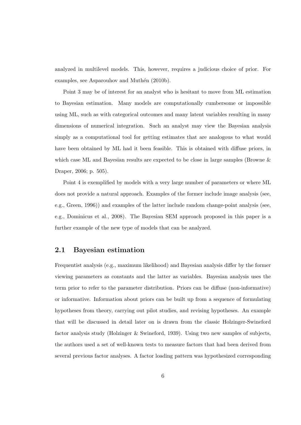analyzed in multilevel models. This, however, requires a judicious choice of prior. For examples, see Asparouhov and Muthén (2010b).

Point 3 may be of interest for an analyst who is hesitant to move from ML estimation to Bayesian estimation. Many models are computationally cumbersome or impossible using ML, such as with categorical outcomes and many latent variables resulting in many dimensions of numerical integration. Such an analyst may view the Bayesian analysis simply as a computational tool for getting estimates that are analogous to what would have been obtained by ML had it been feasible. This is obtained with diffuse priors, in which case ML and Bayesian results are expected to be close in large samples (Browne  $\&$ Draper, 2006; p. 505).

Point 4 is exemplified by models with a very large number of parameters or where ML does not provide a natural approach. Examples of the former include image analysis (see, e.g., Green, 1996)) and examples of the latter include random change-point analysis (see, e.g., Dominicus et al., 2008). The Bayesian SEM approach proposed in this paper is a further example of the new type of models that can be analyzed.

### 2.1 Bayesian estimation

Frequentist analysis (e.g., maximum likelihood) and Bayesian analysis differ by the former viewing parameters as constants and the latter as variables. Bayesian analysis uses the term prior to refer to the parameter distribution. Priors can be diffuse (non-informative) or informative. Information about priors can be built up from a sequence of formulating hypotheses from theory, carrying out pilot studies, and revising hypotheses. An example that will be discussed in detail later on is drawn from the classic Holzinger-Swineford factor analysis study (Holzinger & Swineford, 1939). Using two new samples of subjects, the authors used a set of well-known tests to measure factors that had been derived from several previous factor analyses. A factor loading pattern was hypothesized corresponding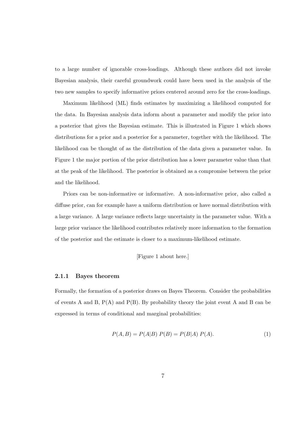to a large number of ignorable cross-loadings. Although these authors did not invoke Bayesian analysis, their careful groundwork could have been used in the analysis of the two new samples to specify informative priors centered around zero for the cross-loadings.

Maximum likelihood (ML) finds estimates by maximizing a likelihood computed for the data. In Bayesian analysis data inform about a parameter and modify the prior into a posterior that gives the Bayesian estimate. This is illustrated in Figure 1 which shows distributions for a prior and a posterior for a parameter, together with the likelihood. The likelihood can be thought of as the distribution of the data given a parameter value. In Figure 1 the major portion of the prior distribution has a lower parameter value than that at the peak of the likelihood. The posterior is obtained as a compromise between the prior and the likelihood.

Priors can be non-informative or informative. A non-informative prior, also called a diffuse prior, can for example have a uniform distribution or have normal distribution with a large variance. A large variance reflects large uncertainty in the parameter value. With a large prior variance the likelihood contributes relatively more information to the formation of the posterior and the estimate is closer to a maximum-likelihood estimate.

#### [Figure 1 about here.]

#### 2.1.1 Bayes theorem

Formally, the formation of a posterior draws on Bayes Theorem. Consider the probabilities of events A and B,  $P(A)$  and  $P(B)$ . By probability theory the joint event A and B can be expressed in terms of conditional and marginal probabilities:

$$
P(A, B) = P(A|B) P(B) = P(B|A) P(A).
$$
 (1)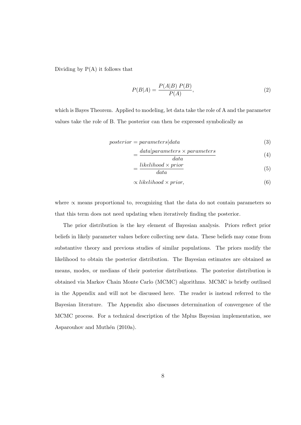Dividing by  $P(A)$  it follows that

$$
P(B|A) = \frac{P(A|B) P(B)}{P(A)},
$$
\n(2)

which is Bayes Theorem. Applied to modeling, let data take the role of A and the parameter values take the role of B. The posterior can then be expressed symbolically as

$$
posterior = parameters | data \t\t(3)
$$

$$
=\frac{data|parameters \times parameters}{data}
$$
(4)

$$
= \frac{likelihood \times prior}{data}
$$
 (5)

$$
\frac{1}{2} \left( \frac{1}{2} \right)
$$

$$
\propto likelihood \times prior,\tag{6}
$$

where  $\propto$  means proportional to, recognizing that the data do not contain parameters so that this term does not need updating when iteratively finding the posterior.

The prior distribution is the key element of Bayesian analysis. Priors reflect prior beliefs in likely parameter values before collecting new data. These beliefs may come from substantive theory and previous studies of similar populations. The priors modify the likelihood to obtain the posterior distribution. The Bayesian estimates are obtained as means, modes, or medians of their posterior distributions. The posterior distribution is obtained via Markov Chain Monte Carlo (MCMC) algorithms. MCMC is briefly outlined in the Appendix and will not be discussed here. The reader is instead referred to the Bayesian literature. The Appendix also discusses determination of convergence of the MCMC process. For a technical description of the Mplus Bayesian implementation, see Asparouhov and Muthén (2010a).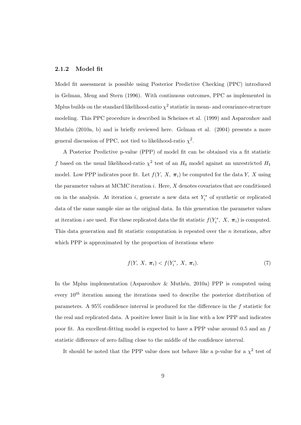#### 2.1.2 Model fit

Model fit assessment is possible using Posterior Predictive Checking (PPC) introduced in Gelman, Meng and Stern (1996). With continuous outcomes, PPC as implemented in Mplus builds on the standard likelihood-ratio  $\chi^2$  statistic in mean- and covariance-structure modeling. This PPC procedure is described in Scheines et al. (1999) and Asparouhov and Muthén (2010a, b) and is briefly reviewed here. Gelman et al. (2004) presents a more general discussion of PPC, not tied to likelihood-ratio  $\chi^2$ .

A Posterior Predictive p-value (PPP) of model fit can be obtained via a fit statistic f based on the usual likelihood-ratio  $\chi^2$  test of an  $H_0$  model against an unrestricted  $H_1$ model. Low PPP indicates poor fit. Let  $f(Y, X, \pi_i)$  be computed for the data Y, X using the parameter values at MCMC iteration  $i$ . Here,  $X$  denotes covariates that are conditioned on in the analysis. At iteration *i*, generate a new data set  $Y_i^*$  of synthetic or replicated data of the same sample size as the original data. In this generation the parameter values at iteration *i* are used. For these replicated data the fit statistic  $f(Y_i^*, X, \pi_i)$  is computed. This data generation and fit statistic computation is repeated over the  $n$  iterations, after which PPP is approximated by the proportion of iterations where

$$
f(Y, X, \pi_i) < f(Y_i^*, X, \pi_i). \tag{7}
$$

In the Mplus implementation (Asparouhov & Muthén, 2010a) PPP is computed using every  $10^{th}$  iteration among the iterations used to describe the posterior distribution of parameters. A 95% confidence interval is produced for the difference in the  $f$  statistic for the real and replicated data. A positive lower limit is in line with a low PPP and indicates poor fit. An excellent-fitting model is expected to have a PPP value around 0.5 and an f statistic difference of zero falling close to the middle of the confidence interval.

It should be noted that the PPP value does not behave like a p-value for a  $\chi^2$  test of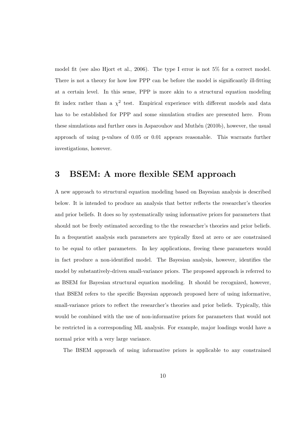model fit (see also Hjort et al., 2006). The type I error is not 5% for a correct model. There is not a theory for how low PPP can be before the model is significantly ill-fitting at a certain level. In this sense, PPP is more akin to a structural equation modeling fit index rather than a  $\chi^2$  test. Empirical experience with different models and data has to be established for PPP and some simulation studies are presented here. From these simulations and further ones in Asparouhov and Muthen (2010b), however, the usual approach of using p-values of 0.05 or 0.01 appears reasonable. This warrants further investigations, however.

## 3 BSEM: A more flexible SEM approach

A new approach to structural equation modeling based on Bayesian analysis is described below. It is intended to produce an analysis that better reflects the researcher's theories and prior beliefs. It does so by systematically using informative priors for parameters that should not be freely estimated according to the the researcher's theories and prior beliefs. In a frequentist analysis such parameters are typically fixed at zero or are constrained to be equal to other parameters. In key applications, freeing these parameters would in fact produce a non-identified model. The Bayesian analysis, however, identifies the model by substantively-driven small-variance priors. The proposed approach is referred to as BSEM for Bayesian structural equation modeling. It should be recognized, however, that BSEM refers to the specific Bayesian approach proposed here of using informative, small-variance priors to reflect the researcher's theories and prior beliefs. Typically, this would be combined with the use of non-informative priors for parameters that would not be restricted in a corresponding ML analysis. For example, major loadings would have a normal prior with a very large variance.

The BSEM approach of using informative priors is applicable to any constrained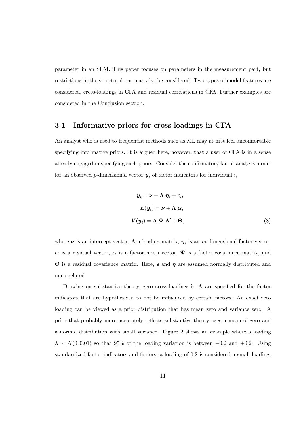parameter in an SEM. This paper focuses on parameters in the measurement part, but restrictions in the structural part can also be considered. Two types of model features are considered, cross-loadings in CFA and residual correlations in CFA. Further examples are considered in the Conclusion section.

### 3.1 Informative priors for cross-loadings in CFA

An analyst who is used to frequentist methods such as ML may at first feel uncomfortable specifying informative priors. It is argued here, however, that a user of CFA is in a sense already engaged in specifying such priors. Consider the confirmatory factor analysis model for an observed p-dimensional vector  $y_i$  of factor indicators for individual i,

$$
\mathbf{y}_{i} = \boldsymbol{\nu} + \boldsymbol{\Lambda} \, \boldsymbol{\eta}_{i} + \boldsymbol{\epsilon}_{i},
$$
\n
$$
E(\mathbf{y}_{i}) = \boldsymbol{\nu} + \boldsymbol{\Lambda} \, \boldsymbol{\alpha},
$$
\n
$$
V(\mathbf{y}_{i}) = \boldsymbol{\Lambda} \, \boldsymbol{\Psi} \, \boldsymbol{\Lambda}' + \boldsymbol{\Theta}, \tag{8}
$$

where  $\nu$  is an intercept vector,  $\Lambda$  a loading matrix,  $\eta_i$  is an m-dimensional factor vector,  $\epsilon_i$  is a residual vector,  $\alpha$  is a factor mean vector,  $\Psi$  is a factor covariance matrix, and  $Θ$  is a residual covariance matrix. Here,  $\epsilon$  and  $η$  are assumed normally distributed and uncorrelated.

Drawing on substantive theory, zero cross-loadings in  $\Lambda$  are specified for the factor indicators that are hypothesized to not be influenced by certain factors. An exact zero loading can be viewed as a prior distribution that has mean zero and variance zero. A prior that probably more accurately reflects substantive theory uses a mean of zero and a normal distribution with small variance. Figure 2 shows an example where a loading  $\lambda \sim N(0, 0.01)$  so that 95% of the loading variation is between -0.2 and +0.2. Using standardized factor indicators and factors, a loading of 0.2 is considered a small loading,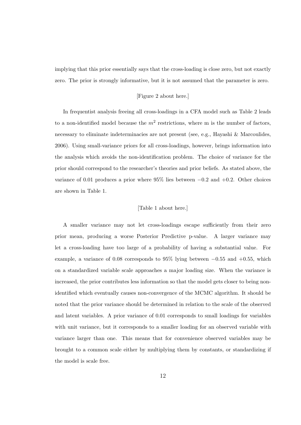implying that this prior essentially says that the cross-loading is close zero, but not exactly zero. The prior is strongly informative, but it is not assumed that the parameter is zero.

#### [Figure 2 about here.]

In frequentist analysis freeing all cross-loadings in a CFA model such as Table 2 leads to a non-identified model because the  $m^2$  restrictions, where m is the number of factors, necessary to eliminate indeterminacies are not present (see, e.g., Hayashi & Marcoulides, 2006). Using small-variance priors for all cross-loadings, however, brings information into the analysis which avoids the non-identification problem. The choice of variance for the prior should correspond to the researcher's theories and prior beliefs. As stated above, the variance of 0.01 produces a prior where  $95\%$  lies between  $-0.2$  and  $+0.2$ . Other choices are shown in Table 1.

#### [Table 1 about here.]

A smaller variance may not let cross-loadings escape sufficiently from their zero prior mean, producing a worse Posterior Predictive p-value. A larger variance may let a cross-loading have too large of a probability of having a substantial value. For example, a variance of 0.08 corresponds to 95% lying between  $-0.55$  and  $+0.55$ , which on a standardized variable scale approaches a major loading size. When the variance is increased, the prior contributes less information so that the model gets closer to being nonidentified which eventually causes non-convergence of the MCMC algorithm. It should be noted that the prior variance should be determined in relation to the scale of the observed and latent variables. A prior variance of 0.01 corresponds to small loadings for variables with unit variance, but it corresponds to a smaller loading for an observed variable with variance larger than one. This means that for convenience observed variables may be brought to a common scale either by multiplying them by constants, or standardizing if the model is scale free.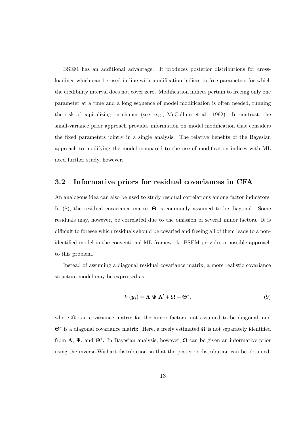BSEM has an additional advantage. It produces posterior distributions for crossloadings which can be used in line with modification indices to free parameters for which the credibility interval does not cover zero. Modification indices pertain to freeing only one parameter at a time and a long sequence of model modification is often needed, running the risk of capitalizing on chance (see, e.g., McCallum et al. 1992). In contrast, the small-variance prior approach provides information on model modification that considers the fixed parameters jointly in a single analysis. The relative benefits of the Bayesian approach to modifying the model compared to the use of modification indices with ML need further study, however.

### 3.2 Informative priors for residual covariances in CFA

An analogous idea can also be used to study residual correlations among factor indicators. In (8), the residual covariance matrix  $\Theta$  is commonly assumed to be diagonal. Some residuals may, however, be correlated due to the omission of several minor factors. It is difficult to foresee which residuals should be covaried and freeing all of them leads to a nonidentified model in the conventional ML framework. BSEM provides a possible approach to this problem.

Instead of assuming a diagonal residual covariance matrix, a more realistic covariance structure model may be expressed as

$$
V(\mathbf{y}_i) = \mathbf{\Lambda} \mathbf{\Psi} \mathbf{\Lambda}' + \mathbf{\Omega} + \mathbf{\Theta}^*,
$$
\n(9)

where  $\Omega$  is a covariance matrix for the minor factors, not assumed to be diagonal, and  $\Theta^*$  is a diagonal covariance matrix. Here, a freely estimated  $\Omega$  is not separately identified from  $\Lambda$ ,  $\Psi$ , and  $\Theta^*$ . In Bayesian analysis, however,  $\Omega$  can be given an informative prior using the inverse-Wishart distribution so that the posterior distribution can be obtained.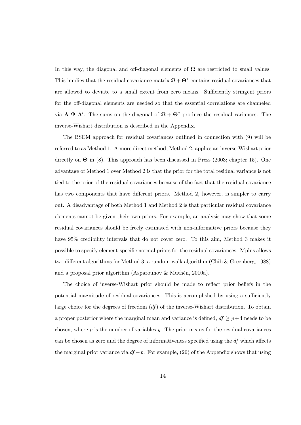In this way, the diagonal and off-diagonal elements of  $\Omega$  are restricted to small values. This implies that the residual covariance matrix  $\Omega + \Theta^*$  contains residual covariances that are allowed to deviate to a small extent from zero means. Sufficiently stringent priors for the off-diagonal elements are needed so that the essential correlations are channeled via  $\Lambda \Psi \Lambda'$ . The sums on the diagonal of  $\Omega + \Theta^*$  produce the residual variances. The inverse-Wishart distribution is described in the Appendix.

The BSEM approach for residual covariances outlined in connection with (9) will be referred to as Method 1. A more direct method, Method 2, applies an inverse-Wishart prior directly on  $\Theta$  in (8). This approach has been discussed in Press (2003; chapter 15). One advantage of Method 1 over Method 2 is that the prior for the total residual variance is not tied to the prior of the residual covariances because of the fact that the residual covariance has two components that have different priors. Method 2, however, is simpler to carry out. A disadvantage of both Method 1 and Method 2 is that particular residual covariance elements cannot be given their own priors. For example, an analysis may show that some residual covariances should be freely estimated with non-informative priors because they have 95% credibility intervals that do not cover zero. To this aim, Method 3 makes it possible to specify element-specific normal priors for the residual covariances. Mplus allows two different algorithms for Method 3, a random-walk algorithm (Chib & Greenberg, 1988) and a proposal prior algorithm (Asparouhov & Muthén, 2010a).

The choice of inverse-Wishart prior should be made to reflect prior beliefs in the potential magnitude of residual covariances. This is accomplished by using a sufficiently large choice for the degrees of freedom  $(df)$  of the inverse-Wishart distribution. To obtain a proper posterior where the marginal mean and variance is defined,  $df \geq p+4$  needs to be chosen, where  $p$  is the number of variables  $y$ . The prior means for the residual covariances can be chosen as zero and the degree of informativeness specified using the df which affects the marginal prior variance via  $df - p$ . For example, (26) of the Appendix shows that using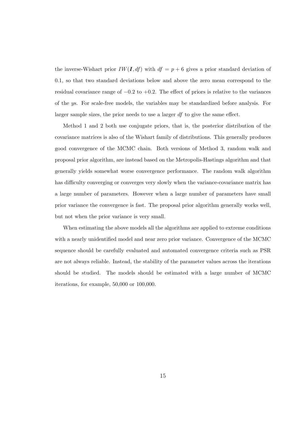the inverse-Wishart prior  $IW(I, df)$  with  $df = p + 6$  gives a prior standard deviation of 0.1, so that two standard deviations below and above the zero mean correspond to the residual covariance range of  $-0.2$  to  $+0.2$ . The effect of priors is relative to the variances of the ys. For scale-free models, the variables may be standardized before analysis. For larger sample sizes, the prior needs to use a larger df to give the same effect.

Method 1 and 2 both use conjugate priors, that is, the posterior distribution of the covariance matrices is also of the Wishart family of distributions. This generally produces good convergence of the MCMC chain. Both versions of Method 3, random walk and proposal prior algorithm, are instead based on the Metropolis-Hastings algorithm and that generally yields somewhat worse convergence performance. The random walk algorithm has difficulty converging or converges very slowly when the variance-covariance matrix has a large number of parameters. However when a large number of parameters have small prior variance the convergence is fast. The proposal prior algorithm generally works well, but not when the prior variance is very small.

When estimating the above models all the algorithms are applied to extreme conditions with a nearly unidentified model and near zero prior variance. Convergence of the MCMC sequence should be carefully evaluated and automated convergence criteria such as PSR are not always reliable. Instead, the stability of the parameter values across the iterations should be studied. The models should be estimated with a large number of MCMC iterations, for example, 50,000 or 100,000.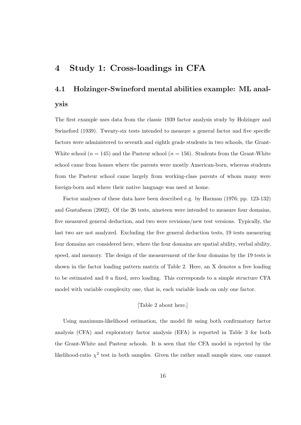## 4 Study 1: Cross-loadings in CFA

# 4.1 Holzinger-Swineford mental abilities example: ML analysis

The first example uses data from the classic 1939 factor analysis study by Holzinger and Swineford (1939). Twenty-six tests intended to measure a general factor and five specific factors were administered to seventh and eighth grade students in two schools, the Grant-White school ( $n = 145$ ) and the Pasteur school ( $n = 156$ ). Students from the Grant-White school came from homes where the parents were mostly American-born, whereas students from the Pasteur school came largely from working-class parents of whom many were foreign-born and where their native language was used at home.

Factor analyses of these data have been described e.g. by Harman (1976; pp. 123-132) and Gustafsson (2002). Of the 26 tests, nineteen were intended to measure four domains, five measured general deduction, and two were revisions/new test versions. Typically, the last two are not analyzed. Excluding the five general deduction tests, 19 tests measuring four domains are considered here, where the four domains are spatial ability, verbal ability, speed, and memory. The design of the measurement of the four domains by the 19 tests is shown in the factor loading pattern matrix of Table 2. Here, an X denotes a free loading to be estimated and 0 a fixed, zero loading. This corresponds to a simple structure CFA model with variable complexity one, that is, each variable loads on only one factor.

#### [Table 2 about here.]

Using maximum-likelihood estimation, the model fit using both confirmatory factor analysis (CFA) and exploratory factor analysis (EFA) is reported in Table 3 for both the Grant-White and Pasteur schools. It is seen that the CFA model is rejected by the likelihood-ratio  $\chi^2$  test in both samples. Given the rather small sample sizes, one cannot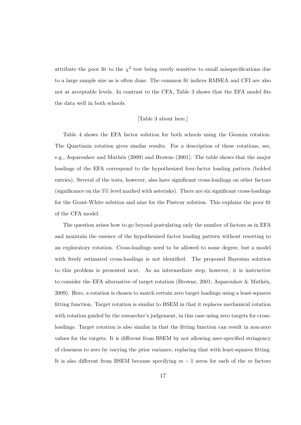attribute the poor fit to the  $\chi^2$  test being overly sensitive to small misspecifications due to a large sample size as is often done. The common fit indices RMSEA and CFI are also not at acceptable levels. In contrast to the CFA, Table 3 shows that the EFA model fits the data well in both schools.

#### [Table 3 about here.]

Table 4 shows the EFA factor solution for both schools using the Geomin rotation. The Quartimin rotation gives similar results. For a description of these rotations, see, e.g., Asparouhov and Muthén  $(2009)$  and Browne  $(2001)$ . The table shows that the major loadings of the EFA correspond to the hypothesized four-factor loading pattern (bolded entries). Several of the tests, however, also have significant cross-loadings on other factors (significance on the 5% level marked with asterisks). There are six significant cross-loadings for the Grant-White solution and nine for the Pasteur solution. This explains the poor fit of the CFA model.

The question arises how to go beyond postulating only the number of factors as in EFA and maintain the essence of the hypothesized factor loading pattern without resorting to an exploratory rotation. Cross-loadings need to be allowed to some degree, but a model with freely estimated cross-loadings is not identified. The proposed Bayesian solution to this problem is presented next. As an intermediate step, however, it is instructive to consider the EFA alternative of target rotation (Browne, 2001; Asparouhov & Muthén, 2009). Here, a rotation is chosen to match certain zero target loadings using a least-squares fitting function. Target rotation is similar to BSEM in that it replaces mechanical rotation with rotation guided by the researcher's judgement, in this case using zero targets for crossloadings. Target rotation is also similar in that the fitting function can result in non-zero values for the targets. It is different from BSEM by not allowing user-specified stringency of closeness to zero by varying the prior variance, replacing that with least-squares fitting. It is also different from BSEM because specifying  $m-1$  zeros for each of the m factors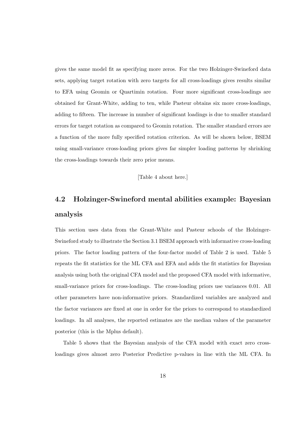gives the same model fit as specifying more zeros. For the two Holzinger-Swineford data sets, applying target rotation with zero targets for all cross-loadings gives results similar to EFA using Geomin or Quartimin rotation. Four more significant cross-loadings are obtained for Grant-White, adding to ten, while Pasteur obtains six more cross-loadings, adding to fifteen. The increase in number of significant loadings is due to smaller standard errors for target rotation as compared to Geomin rotation. The smaller standard errors are a function of the more fully specified rotation criterion. As will be shown below, BSEM using small-variance cross-loading priors gives far simpler loading patterns by shrinking the cross-loadings towards their zero prior means.

[Table 4 about here.]

# 4.2 Holzinger-Swineford mental abilities example: Bayesian analysis

This section uses data from the Grant-White and Pasteur schools of the Holzinger-Swineford study to illustrate the Section 3.1 BSEM approach with informative cross-loading priors. The factor loading pattern of the four-factor model of Table 2 is used. Table 5 repeats the fit statistics for the ML CFA and EFA and adds the fit statistics for Bayesian analysis using both the original CFA model and the proposed CFA model with informative, small-variance priors for cross-loadings. The cross-loading priors use variances 0.01. All other parameters have non-informative priors. Standardized variables are analyzed and the factor variances are fixed at one in order for the priors to correspond to standardized loadings. In all analyses, the reported estimates are the median values of the parameter posterior (this is the Mplus default).

Table 5 shows that the Bayesian analysis of the CFA model with exact zero crossloadings gives almost zero Posterior Predictive p-values in line with the ML CFA. In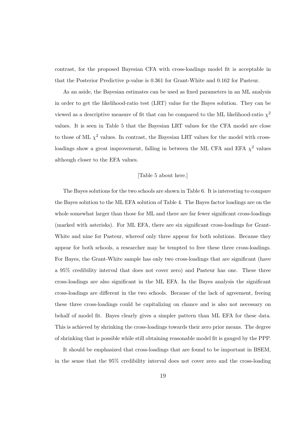contrast, for the proposed Bayesian CFA with cross-loadings model fit is acceptable in that the Posterior Predictive p-value is 0.361 for Grant-White and 0.162 for Pasteur.

As an aside, the Bayesian estimates can be used as fixed parameters in an ML analysis in order to get the likelihood-ratio test (LRT) value for the Bayes solution. They can be viewed as a descriptive measure of fit that can be compared to the ML likelihood-ratio  $\chi^2$ values. It is seen in Table 5 that the Bayesian LRT values for the CFA model are close to those of ML  $\chi^2$  values. In contrast, the Bayesian LRT values for the model with crossloadings show a great improvement, falling in between the ML CFA and EFA  $\chi^2$  values although closer to the EFA values.

#### [Table 5 about here.]

The Bayes solutions for the two schools are shown in Table 6. It is interesting to compare the Bayes solution to the ML EFA solution of Table 4. The Bayes factor loadings are on the whole somewhat larger than those for ML and there are far fewer significant cross-loadings (marked with asterisks). For ML EFA, there are six significant cross-loadings for Grant-White and nine for Pasteur, whereof only three appear for both solutions. Because they appear for both schools, a researcher may be tempted to free these three cross-loadings. For Bayes, the Grant-White sample has only two cross-loadings that are significant (have a 95% credibility interval that does not cover zero) and Pasteur has one. These three cross-loadings are also significant in the ML EFA. In the Bayes analysis the significant cross-loadings are different in the two schools. Because of the lack of agreement, freeing these three cross-loadings could be capitalizing on chance and is also not necessary on behalf of model fit. Bayes clearly gives a simpler pattern than ML EFA for these data. This is achieved by shrinking the cross-loadings towards their zero prior means. The degree of shrinking that is possible while still obtaining reasonable model fit is gauged by the PPP.

It should be emphasized that cross-loadings that are found to be important in BSEM, in the sense that the 95% credibility interval does not cover zero and the cross-loading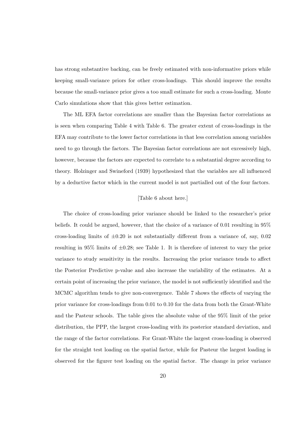has strong substantive backing, can be freely estimated with non-informative priors while keeping small-variance priors for other cross-loadings. This should improve the results because the small-variance prior gives a too small estimate for such a cross-loading. Monte Carlo simulations show that this gives better estimation.

The ML EFA factor correlations are smaller than the Bayesian factor correlations as is seen when comparing Table 4 with Table 6. The greater extent of cross-loadings in the EFA may contribute to the lower factor correlations in that less correlation among variables need to go through the factors. The Bayesian factor correlations are not excessively high, however, because the factors are expected to correlate to a substantial degree according to theory. Holzinger and Swineford (1939) hypothesized that the variables are all influenced by a deductive factor which in the current model is not partialled out of the four factors.

#### [Table 6 about here.]

The choice of cross-loading prior variance should be linked to the researcher's prior beliefs. It could be argued, however, that the choice of a variance of 0.01 resulting in 95% cross-loading limits of  $\pm 0.20$  is not substantially different from a variance of, say, 0.02 resulting in 95% limits of  $\pm 0.28$ ; see Table 1. It is therefore of interest to vary the prior variance to study sensitivity in the results. Increasing the prior variance tends to affect the Posterior Predictive p-value and also increase the variability of the estimates. At a certain point of increasing the prior variance, the model is not sufficiently identified and the MCMC algorithm tends to give non-convergence. Table 7 shows the effects of varying the prior variance for cross-loadings from 0.01 to 0.10 for the data from both the Grant-White and the Pasteur schools. The table gives the absolute value of the 95% limit of the prior distribution, the PPP, the largest cross-loading with its posterior standard deviation, and the range of the factor correlations. For Grant-White the largest cross-loading is observed for the straight test loading on the spatial factor, while for Pasteur the largest loading is observed for the figurer test loading on the spatial factor. The change in prior variance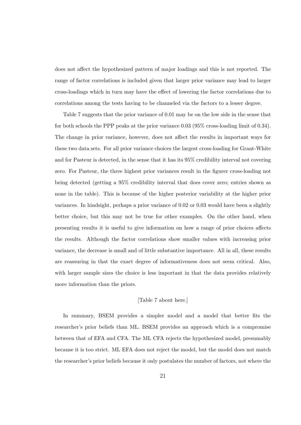does not affect the hypothesized pattern of major loadings and this is not reported. The range of factor correlations is included given that larger prior variance may lead to larger cross-loadings which in turn may have the effect of lowering the factor correlations due to correlations among the tests having to be channeled via the factors to a lesser degree.

Table 7 suggests that the prior variance of 0.01 may be on the low side in the sense that for both schools the PPP peaks at the prior variance 0.03 (95% cross-loading limit of 0.34). The change in prior variance, however, does not affect the results in important ways for these two data sets. For all prior variance choices the largest cross-loading for Grant-White and for Pasteur is detected, in the sense that it has its 95% credibility interval not covering zero. For Pasteur, the three highest prior variances result in the figurer cross-loading not being detected (getting a 95% credibility interval that does cover zero; entries shown as none in the table). This is because of the higher posterior variability at the higher prior variances. In hindsight, perhaps a prior variance of 0.02 or 0.03 would have been a slightly better choice, but this may not be true for other examples. On the other hand, when presenting results it is useful to give information on how a range of prior choices affects the results. Although the factor correlations show smaller values with increasing prior variance, the decrease is small and of little substantive importance. All in all, these results are reassuring in that the exact degree of informativeness does not seem critical. Also, with larger sample sizes the choice is less important in that the data provides relatively more information than the priors.

#### [Table 7 about here.]

In summary, BSEM provides a simpler model and a model that better fits the researcher's prior beliefs than ML. BSEM provides an approach which is a compromise between that of EFA and CFA. The ML CFA rejects the hypothesized model, presumably because it is too strict. ML EFA does not reject the model, but the model does not match the researcher's prior beliefs because it only postulates the number of factors, not where the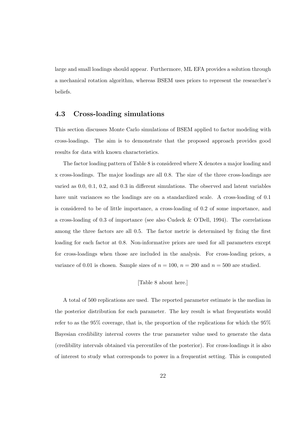large and small loadings should appear. Furthermore, ML EFA provides a solution through a mechanical rotation algorithm, whereas BSEM uses priors to represent the researcher's beliefs.

### 4.3 Cross-loading simulations

This section discusses Monte Carlo simulations of BSEM applied to factor modeling with cross-loadings. The aim is to demonstrate that the proposed approach provides good results for data with known characteristics.

The factor loading pattern of Table 8 is considered where X denotes a major loading and x cross-loadings. The major loadings are all 0.8. The size of the three cross-loadings are varied as 0.0, 0.1, 0.2, and 0.3 in different simulations. The observed and latent variables have unit variances so the loadings are on a standardized scale. A cross-loading of 0.1 is considered to be of little importance, a cross-loading of 0.2 of some importance, and a cross-loading of 0.3 of importance (see also Cudeck & O'Dell, 1994). The correlations among the three factors are all 0.5. The factor metric is determined by fixing the first loading for each factor at 0.8. Non-informative priors are used for all parameters except for cross-loadings when those are included in the analysis. For cross-loading priors, a variance of 0.01 is chosen. Sample sizes of  $n = 100$ ,  $n = 200$  and  $n = 500$  are studied.

#### [Table 8 about here.]

A total of 500 replications are used. The reported parameter estimate is the median in the posterior distribution for each parameter. The key result is what frequentists would refer to as the 95% coverage, that is, the proportion of the replications for which the 95% Bayesian credibility interval covers the true parameter value used to generate the data (credibility intervals obtained via percentiles of the posterior). For cross-loadings it is also of interest to study what corresponds to power in a frequentist setting. This is computed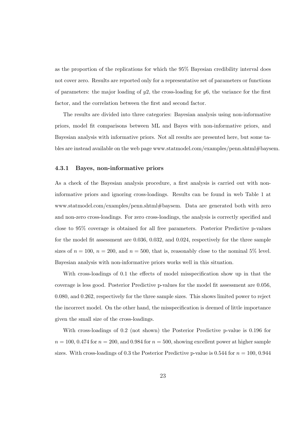as the proportion of the replications for which the 95% Bayesian credibility interval does not cover zero. Results are reported only for a representative set of parameters or functions of parameters: the major loading of  $y2$ , the cross-loading for  $y6$ , the variance for the first factor, and the correlation between the first and second factor.

The results are divided into three categories: Bayesian analysis using non-informative priors, model fit comparisons between ML and Bayes with non-informative priors, and Bayesian analysis with informative priors. Not all results are presented here, but some tables are instead available on the web page www.statmodel.com/examples/penn.shtml#baysem.

#### 4.3.1 Bayes, non-informative priors

As a check of the Bayesian analysis procedure, a first analysis is carried out with noninformative priors and ignoring cross-loadings. Results can be found in web Table 1 at www.statmodel.com/examples/penn.shtml#baysem. Data are generated both with zero and non-zero cross-loadings. For zero cross-loadings, the analysis is correctly specified and close to 95% coverage is obtained for all free parameters. Posterior Predictive p-values for the model fit assessment are 0.036, 0.032, and 0.024, respectively for the three sample sizes of  $n = 100$ ,  $n = 200$ , and  $n = 500$ , that is, reasonably close to the nominal 5% level. Bayesian analysis with non-informative priors works well in this situation.

With cross-loadings of 0.1 the effects of model misspecification show up in that the coverage is less good. Posterior Predictive p-values for the model fit assessment are 0.056, 0.080, and 0.262, respectively for the three sample sizes. This shows limited power to reject the incorrect model. On the other hand, the misspecification is deemed of little importance given the small size of the cross-loadings.

With cross-loadings of 0.2 (not shown) the Posterior Predictive p-value is 0.196 for  $n = 100, 0.474$  for  $n = 200$ , and 0.984 for  $n = 500$ , showing excellent power at higher sample sizes. With cross-loadings of 0.3 the Posterior Predictive p-value is 0.544 for  $n = 100, 0.944$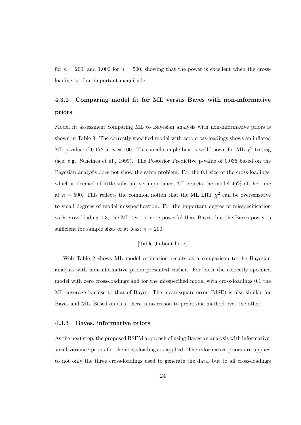for  $n = 200$ , and 1.000 for  $n = 500$ , showing that the power is excellent when the crossloading is of an important magnitude.

## 4.3.2 Comparing model fit for ML versus Bayes with non-informative priors

Model fit assessment comparing ML to Bayesian analysis with non-informative priors is shown in Table 9. The correctly specified model with zero cross-loadings shows an inflated ML p-value of 0.172 at  $n = 100$ . This small-sample bias is well-known for ML  $\chi^2$  testing (see, e.g., Scheines et al., 1999). The Posterior Predictive p-value of 0.036 based on the Bayesian analysis does not show the same problem. For the 0.1 size of the cross-loadings, which is deemed of little substantive importance, ML rejects the model 46% of the time at  $n = 500$ . This reflects the common notion that the ML LRT  $\chi^2$  can be oversensitive to small degrees of model misspecification. For the important degree of misspecification with cross-loading 0.3, the ML test is more powerful than Bayes, but the Bayes power is sufficient for sample sizes of at least  $n = 200$ .

#### [Table 9 about here.]

Web Table 2 shows ML model estimation results as a comparison to the Bayesian analysis with non-informative priors presented earlier. For both the correctly specified model with zero cross-loadings and for the misspecified model with cross-loadings 0.1 the ML coverage is close to that of Bayes. The mean-square-error (MSE) is also similar for Bayes and ML. Based on this, there is no reason to prefer one method over the other.

#### 4.3.3 Bayes, informative priors

As the next step, the proposed BSEM approach of using Bayesian analysis with informative, small-variance priors for the cross-loadings is applied. The informative priors are applied to not only the three cross-loadings used to generate the data, but to all cross-loadings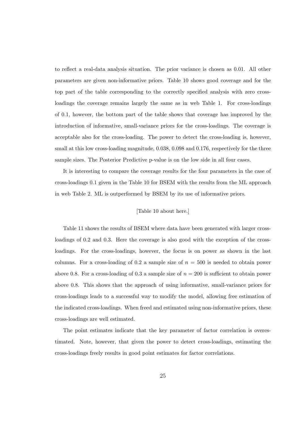to reflect a real-data analysis situation. The prior variance is chosen as 0.01. All other parameters are given non-informative priors. Table 10 shows good coverage and for the top part of the table corresponding to the correctly specified analysis with zero crossloadings the coverage remains largely the same as in web Table 1. For cross-loadings of 0.1, however, the bottom part of the table shows that coverage has improved by the introduction of informative, small-variance priors for the cross-loadings. The coverage is acceptable also for the cross-loading. The power to detect the cross-loading is, however, small at this low cross-loading magnitude,  $0.038$ ,  $0.098$  and  $0.176$ , respectively for the three sample sizes. The Posterior Predictive p-value is on the low side in all four cases.

It is interesting to compare the coverage results for the four parameters in the case of cross-loadings 0.1 given in the Table 10 for BSEM with the results from the ML approach in web Table 2. ML is outperformed by BSEM by its use of informative priors.

#### [Table 10 about here.]

Table 11 shows the results of BSEM where data have been generated with larger crossloadings of 0.2 and 0.3. Here the coverage is also good with the exception of the crossloadings. For the cross-loadings, however, the focus is on power as shown in the last columns. For a cross-loading of 0.2 a sample size of  $n = 500$  is needed to obtain power above 0.8. For a cross-loading of 0.3 a sample size of  $n = 200$  is sufficient to obtain power above 0.8. This shows that the approach of using informative, small-variance priors for cross-loadings leads to a successful way to modify the model, allowing free estimation of the indicated cross-loadings. When freed and estimated using non-informative priors, these cross-loadings are well estimated.

The point estimates indicate that the key parameter of factor correlation is overestimated. Note, however, that given the power to detect cross-loadings, estimating the cross-loadings freely results in good point estimates for factor correlations.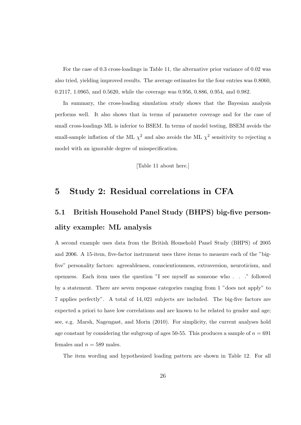For the case of 0.3 cross-loadings in Table 11, the alternative prior variance of 0.02 was also tried, yielding improved results. The average estimates for the four entries was 0.8060, 0.2117, 1.0965, and 0.5620, while the coverage was 0.956, 0.886, 0.954, and 0.982.

In summary, the cross-loading simulation study shows that the Bayesian analysis performs well. It also shows that in terms of parameter coverage and for the case of small cross-loadings ML is inferior to BSEM. In terms of model testing, BSEM avoids the small-sample inflation of the ML  $\chi^2$  and also avoids the ML  $\chi^2$  sensitivity to rejecting a model with an ignorable degree of misspecification.

[Table 11 about here.]

## 5 Study 2: Residual correlations in CFA

# 5.1 British Household Panel Study (BHPS) big-five personality example: ML analysis

A second example uses data from the British Household Panel Study (BHPS) of 2005 and 2006. A 15-item, five-factor instrument uses three items to measure each of the "bigfive" personality factors: agreeableness, conscientiousness, extraversion, neuroticism, and openness. Each item uses the question "I see myself as someone who . . ." followed by a statement. There are seven response categories ranging from 1 "does not apply" to 7 applies perfectly". A total of 14, 021 subjects are included. The big-five factors are expected a priori to have low correlations and are known to be related to gender and age; see, e.g. Marsh, Nagengast, and Morin (2010). For simplicity, the current analyses hold age constant by considering the subgroup of ages 50-55. This produces a sample of  $n = 691$ females and  $n = 589$  males.

The item wording and hypothesized loading pattern are shown in Table 12. For all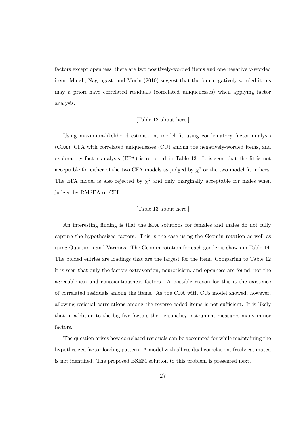factors except openness, there are two positively-worded items and one negatively-worded item. Marsh, Nagengast, and Morin (2010) suggest that the four negatively-worded items may a priori have correlated residuals (correlated uniquenesses) when applying factor analysis.

#### [Table 12 about here.]

Using maximum-likelihood estimation, model fit using confirmatory factor analysis (CFA), CFA with correlated uniquenesses (CU) among the negatively-worded items, and exploratory factor analysis (EFA) is reported in Table 13. It is seen that the fit is not acceptable for either of the two CFA models as judged by  $\chi^2$  or the two model fit indices. The EFA model is also rejected by  $\chi^2$  and only marginally acceptable for males when judged by RMSEA or CFI.

#### [Table 13 about here.]

An interesting finding is that the EFA solutions for females and males do not fully capture the hypothesized factors. This is the case using the Geomin rotation as well as using Quartimin and Varimax. The Geomin rotation for each gender is shown in Table 14. The bolded entries are loadings that are the largest for the item. Comparing to Table 12 it is seen that only the factors extraversion, neuroticism, and openness are found, not the agreeableness and conscientiousness factors. A possible reason for this is the existence of correlated residuals among the items. As the CFA with CUs model showed, however, allowing residual correlations among the reverse-coded items is not sufficient. It is likely that in addition to the big-five factors the personality instrument measures many minor factors.

The question arises how correlated residuals can be accounted for while maintaining the hypothesized factor loading pattern. A model with all residual correlations freely estimated is not identified. The proposed BSEM solution to this problem is presented next.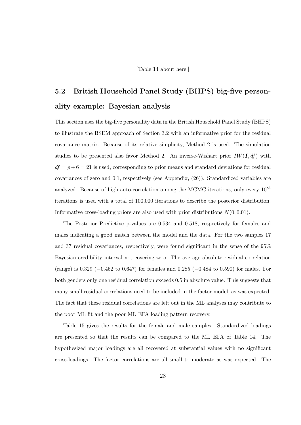[Table 14 about here.]

# 5.2 British Household Panel Study (BHPS) big-five personality example: Bayesian analysis

This section uses the big-five personality data in the British Household Panel Study (BHPS) to illustrate the BSEM approach of Section 3.2 with an informative prior for the residual covariance matrix. Because of its relative simplicity, Method 2 is used. The simulation studies to be presented also favor Method 2. An inverse-Wishart prior  $IW(I, df)$  with  $df = p + 6 = 21$  is used, corresponding to prior means and standard deviations for residual covariances of zero and 0.1, respectively (see Appendix, (26)). Standardized variables are analyzed. Because of high auto-correlation among the MCMC iterations, only every  $10^{th}$ iterations is used with a total of 100,000 iterations to describe the posterior distribution. Informative cross-loading priors are also used with prior distributions  $N(0, 0.01)$ .

The Posterior Predictive p-values are 0.534 and 0.518, respectively for females and males indicating a good match between the model and the data. For the two samples 17 and 37 residual covariances, respectively, were found significant in the sense of the 95% Bayesian credibility interval not covering zero. The average absolute residual correlation (range) is 0.329 (−0.462 to 0.647) for females and 0.285 (−0.484 to 0.590) for males. For both genders only one residual correlation exceeds 0.5 in absolute value. This suggests that many small residual correlations need to be included in the factor model, as was expected. The fact that these residual correlations are left out in the ML analyses may contribute to the poor ML fit and the poor ML EFA loading pattern recovery.

Table 15 gives the results for the female and male samples. Standardized loadings are presented so that the results can be compared to the ML EFA of Table 14. The hypothesized major loadings are all recovered at substantial values with no significant cross-loadings. The factor correlations are all small to moderate as was expected. The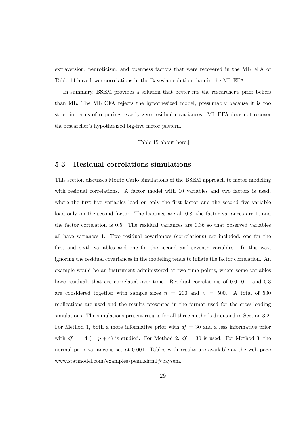extraversion, neuroticism, and openness factors that were recovered in the ML EFA of Table 14 have lower correlations in the Bayesian solution than in the ML EFA.

In summary, BSEM provides a solution that better fits the researcher's prior beliefs than ML. The ML CFA rejects the hypothesized model, presumably because it is too strict in terms of requiring exactly zero residual covariances. ML EFA does not recover the researcher's hypothesized big-five factor pattern.

[Table 15 about here.]

## 5.3 Residual correlations simulations

This section discusses Monte Carlo simulations of the BSEM approach to factor modeling with residual correlations. A factor model with 10 variables and two factors is used, where the first five variables load on only the first factor and the second five variable load only on the second factor. The loadings are all 0.8, the factor variances are 1, and the factor correlation is 0.5. The residual variances are 0.36 so that observed variables all have variances 1. Two residual covariances (correlations) are included, one for the first and sixth variables and one for the second and seventh variables. In this way, ignoring the residual covariances in the modeling tends to inflate the factor correlation. An example would be an instrument administered at two time points, where some variables have residuals that are correlated over time. Residual correlations of 0.0, 0.1, and 0.3 are considered together with sample sizes  $n = 200$  and  $n = 500$ . A total of 500 replications are used and the results presented in the format used for the cross-loading simulations. The simulations present results for all three methods discussed in Section 3.2. For Method 1, both a more informative prior with  $df = 30$  and a less informative prior with  $df = 14$  (=  $p + 4$ ) is studied. For Method 2,  $df = 30$  is used. For Method 3, the normal prior variance is set at 0.001. Tables with results are available at the web page www.statmodel.com/examples/penn.shtml#baysem.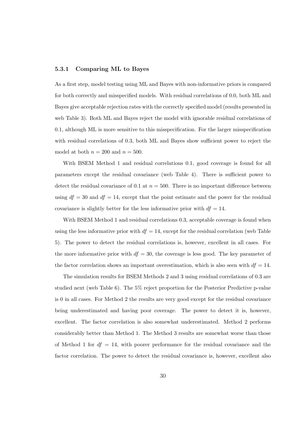#### 5.3.1 Comparing ML to Bayes

As a first step, model testing using ML and Bayes with non-informative priors is compared for both correctly and misspecified models. With residual correlations of 0.0, both ML and Bayes give acceptable rejection rates with the correctly specified model (results presented in web Table 3). Both ML and Bayes reject the model with ignorable residual correlations of 0.1, although ML is more sensitive to this misspecification. For the larger misspecification with residual correlations of 0.3, both ML and Bayes show sufficient power to reject the model at both  $n = 200$  and  $n = 500$ .

With BSEM Method 1 and residual correlations 0.1, good coverage is found for all parameters except the residual covariance (web Table 4). There is sufficient power to detect the residual covariance of 0.1 at  $n = 500$ . There is no important difference between using  $df = 30$  and  $df = 14$ , except that the point estimate and the power for the residual covariance is slightly better for the less informative prior with  $df = 14$ .

With BSEM Method 1 and residual correlations 0.3, acceptable coverage is found when using the less informative prior with  $df = 14$ , except for the residual correlation (web Table 5). The power to detect the residual correlations is, however, excellent in all cases. For the more informative prior with  $df = 30$ , the coverage is less good. The key parameter of the factor correlation shows an important overestimation, which is also seen with  $df = 14$ .

The simulation results for BSEM Methods 2 and 3 using residual correlations of 0.3 are studied next (web Table 6). The 5% reject proportion for the Posterior Predictive p-value is 0 in all cases. For Method 2 the results are very good except for the residual covariance being underestimated and having poor coverage. The power to detect it is, however, excellent. The factor correlation is also somewhat underestimated. Method 2 performs considerably better than Method 1. The Method 3 results are somewhat worse than those of Method 1 for  $df = 14$ , with poorer performance for the residual covariance and the factor correlation. The power to detect the residual covariance is, however, excellent also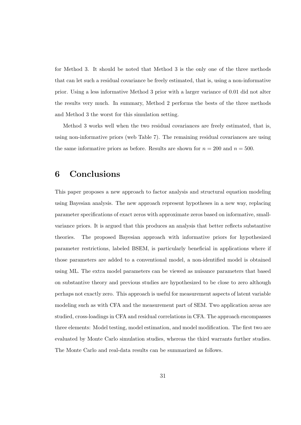for Method 3. It should be noted that Method 3 is the only one of the three methods that can let such a residual covariance be freely estimated, that is, using a non-informative prior. Using a less informative Method 3 prior with a larger variance of 0.01 did not alter the results very much. In summary, Method 2 performs the bests of the three methods and Method 3 the worst for this simulation setting.

Method 3 works well when the two residual covariances are freely estimated, that is, using non-informative priors (web Table 7). The remaining residual covariances are using the same informative priors as before. Results are shown for  $n = 200$  and  $n = 500$ .

## 6 Conclusions

This paper proposes a new approach to factor analysis and structural equation modeling using Bayesian analysis. The new approach represent hypotheses in a new way, replacing parameter specifications of exact zeros with approximate zeros based on informative, smallvariance priors. It is argued that this produces an analysis that better reflects substantive theories. The proposed Bayesian approach with informative priors for hypothesized parameter restrictions, labeled BSEM, is particularly beneficial in applications where if those parameters are added to a conventional model, a non-identified model is obtained using ML. The extra model parameters can be viewed as nuisance parameters that based on substantive theory and previous studies are hypothesized to be close to zero although perhaps not exactly zero. This approach is useful for measurement aspects of latent variable modeling such as with CFA and the measurement part of SEM. Two application areas are studied, cross-loadings in CFA and residual correlations in CFA. The approach encompasses three elements: Model testing, model estimation, and model modification. The first two are evaluated by Monte Carlo simulation studies, whereas the third warrants further studies. The Monte Carlo and real-data results can be summarized as follows.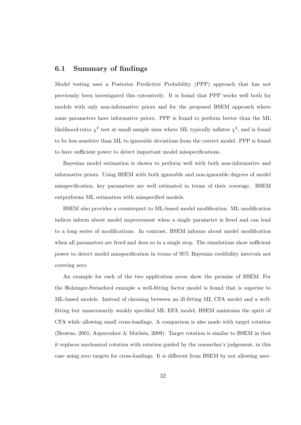### 6.1 Summary of findings

Model testing uses a Posterior Predictive Probability (PPP) approach that has not previously been investigated this extensively. It is found that PPP works well both for models with only non-informative priors and for the proposed BSEM approach where some parameters have informative priors. PPP is found to perform better than the ML likelihood-ratio  $\chi^2$  test at small sample sizes where ML typically inflates  $\chi^2$ , and is found to be less sensitive than ML to ignorable deviations from the correct model. PPP is found to have sufficient power to detect important model misspecifications.

Bayesian model estimation is shown to perform well with both non-informative and informative priors. Using BSEM with both ignorable and non-ignorable degrees of model misspecification, key parameters are well estimated in terms of their coverage. BSEM outperforms ML estimation with misspecified models.

BSEM also provides a counterpart to ML-based model modification. ML modification indices inform about model improvement when a single parameter is freed and can lead to a long series of modifications. In contrast, BSEM informs about model modification when all parameters are freed and does so in a single step. The simulations show sufficient power to detect model misspecification in terms of 95% Bayesian credibility intervals not covering zero.

An example for each of the two application areas show the promise of BSEM. For the Holzinger-Swineford example a well-fitting factor model is found that is superior to ML-based models. Instead of choosing between an ill-fitting ML CFA model and a wellfitting but unnecessarily weakly specified ML EFA model, BSEM maintains the spirit of CFA while allowing small cross-loadings. A comparison is also made with target rotation (Browne, 2001; Asparouhov & Muthén, 2009). Target rotation is similar to BSEM in that it replaces mechanical rotation with rotation guided by the researcher's judgement, in this case using zero targets for cross-loadings. It is different from BSEM by not allowing user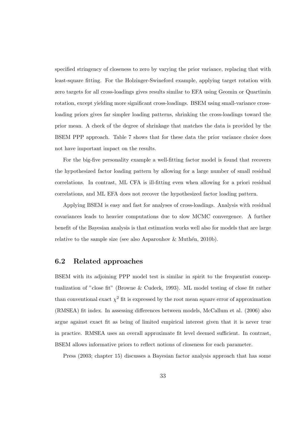specified stringency of closeness to zero by varying the prior variance, replacing that with least-square fitting. For the Holzinger-Swineford example, applying target rotation with zero targets for all cross-loadings gives results similar to EFA using Geomin or Quartimin rotation, except yielding more significant cross-loadings. BSEM using small-variance crossloading priors gives far simpler loading patterns, shrinking the cross-loadings toward the prior mean. A check of the degree of shrinkage that matches the data is provided by the BSEM PPP approach. Table 7 shows that for these data the prior variance choice does not have important impact on the results.

For the big-five personality example a well-fitting factor model is found that recovers the hypothesized factor loading pattern by allowing for a large number of small residual correlations. In contrast, ML CFA is ill-fitting even when allowing for a priori residual correlations, and ML EFA does not recover the hypothesized factor loading pattern.

Applying BSEM is easy and fast for analyses of cross-loadings. Analysis with residual covariances leads to heavier computations due to slow MCMC convergence. A further benefit of the Bayesian analysis is that estimation works well also for models that are large relative to the sample size (see also Asparouhov  $\&$  Muthen, 2010b).

### 6.2 Related approaches

BSEM with its adjoining PPP model test is similar in spirit to the frequentist conceptualization of "close fit" (Browne & Cudeck, 1993). ML model testing of close fit rather than conventional exact  $\chi^2$  fit is expressed by the root mean square error of approximation (RMSEA) fit index. In assessing differences between models, McCallum et al. (2006) also argue against exact fit as being of limited empirical interest given that it is never true in practice. RMSEA uses an overall approximate fit level deemed sufficient. In contrast, BSEM allows informative priors to reflect notions of closeness for each parameter.

Press (2003; chapter 15) discusses a Bayesian factor analysis approach that has some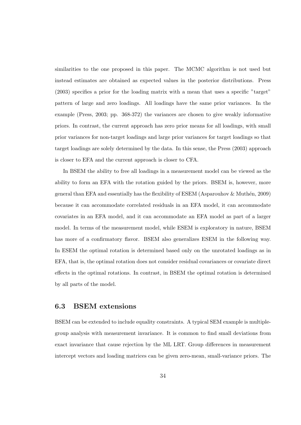similarities to the one proposed in this paper. The MCMC algorithm is not used but instead estimates are obtained as expected values in the posterior distributions. Press (2003) specifies a prior for the loading matrix with a mean that uses a specific "target" pattern of large and zero loadings. All loadings have the same prior variances. In the example (Press, 2003; pp. 368-372) the variances are chosen to give weakly informative priors. In contrast, the current approach has zero prior means for all loadings, with small prior variances for non-target loadings and large prior variances for target loadings so that target loadings are solely determined by the data. In this sense, the Press (2003) approach is closer to EFA and the current approach is closer to CFA.

In BSEM the ability to free all loadings in a measurement model can be viewed as the ability to form an EFA with the rotation guided by the priors. BSEM is, however, more general than EFA and essentially has the flexibility of ESEM (Asparouhov & Muth´en, 2009) because it can accommodate correlated residuals in an EFA model, it can accommodate covariates in an EFA model, and it can accommodate an EFA model as part of a larger model. In terms of the measurement model, while ESEM is exploratory in nature, BSEM has more of a confirmatory flavor. BSEM also generalizes ESEM in the following way. In ESEM the optimal rotation is determined based only on the unrotated loadings as in EFA, that is, the optimal rotation does not consider residual covariances or covariate direct effects in the optimal rotations. In contrast, in BSEM the optimal rotation is determined by all parts of the model.

## 6.3 BSEM extensions

BSEM can be extended to include equality constraints. A typical SEM example is multiplegroup analysis with measurement invariance. It is common to find small deviations from exact invariance that cause rejection by the ML LRT. Group differences in measurement intercept vectors and loading matrices can be given zero-mean, small-variance priors. The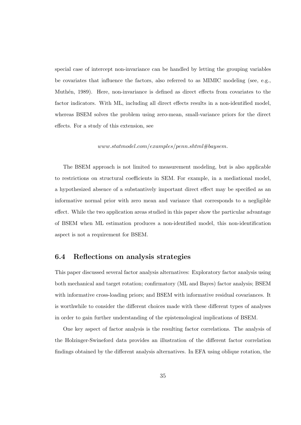special case of intercept non-invariance can be handled by letting the grouping variables be covariates that influence the factors, also referred to as MIMIC modeling (see, e.g., Muthén, 1989). Here, non-invariance is defined as direct effects from covariates to the factor indicators. With ML, including all direct effects results in a non-identified model, whereas BSEM solves the problem using zero-mean, small-variance priors for the direct effects. For a study of this extension, see

#### $www.stat model.com/examples/penn.shtml#baysem.$

The BSEM approach is not limited to measurement modeling, but is also applicable to restrictions on structural coefficients in SEM. For example, in a mediational model, a hypothesized absence of a substantively important direct effect may be specified as an informative normal prior with zero mean and variance that corresponds to a negligible effect. While the two application areas studied in this paper show the particular advantage of BSEM when ML estimation produces a non-identified model, this non-identification aspect is not a requirement for BSEM.

### 6.4 Reflections on analysis strategies

This paper discussed several factor analysis alternatives: Exploratory factor analysis using both mechanical and target rotation; confirmatory (ML and Bayes) factor analysis; BSEM with informative cross-loading priors; and BSEM with informative residual covariances. It is worthwhile to consider the different choices made with these different types of analyses in order to gain further understanding of the epistemological implications of BSEM.

One key aspect of factor analysis is the resulting factor correlations. The analysis of the Holzinger-Swineford data provides an illustration of the different factor correlation findings obtained by the different analysis alternatives. In EFA using oblique rotation, the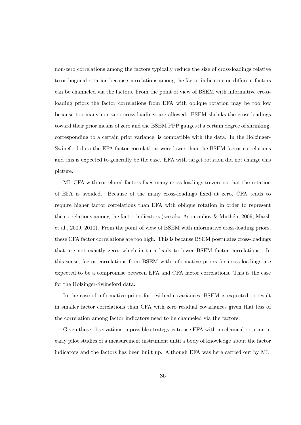non-zero correlations among the factors typically reduce the size of cross-loadings relative to orthogonal rotation because correlations among the factor indicators on different factors can be channeled via the factors. From the point of view of BSEM with informative crossloading priors the factor correlations from EFA with oblique rotation may be too low because too many non-zero cross-loadings are allowed. BSEM shrinks the cross-loadings toward their prior means of zero and the BSEM PPP gauges if a certain degree of shrinking, corresponding to a certain prior variance, is compatible with the data. In the Holzinger-Swineford data the EFA factor correlations were lower than the BSEM factor correlations and this is expected to generally be the case. EFA with target rotation did not change this picture.

ML CFA with correlated factors fixes many cross-loadings to zero so that the rotation of EFA is avoided. Because of the many cross-loadings fixed at zero, CFA tends to require higher factor correlations than EFA with oblique rotation in order to represent the correlations among the factor indicators (see also Asparouhov  $&$  Muthén, 2009; Marsh et al., 2009, 2010). From the point of view of BSEM with informative cross-loading priors, these CFA factor correlations are too high. This is because BSEM postulates cross-loadings that are not exactly zero, which in turn leads to lower BSEM factor correlations. In this sense, factor correlations from BSEM with informative priors for cross-loadings are expected to be a compromise between EFA and CFA factor correlations. This is the case for the Holzinger-Swineford data.

In the case of informative priors for residual covariances, BSEM is expected to result in smaller factor correlations than CFA with zero residual covariances given that less of the correlation among factor indicators need to be channeled via the factors.

Given these observations, a possible strategy is to use EFA with mechanical rotation in early pilot studies of a measurement instrument until a body of knowledge about the factor indicators and the factors has been built up. Although EFA was here carried out by ML,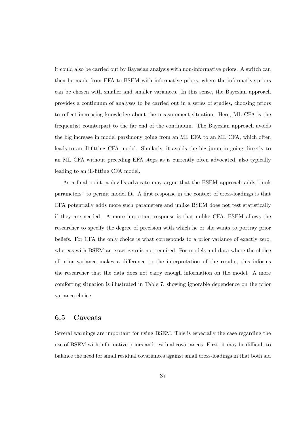it could also be carried out by Bayesian analysis with non-informative priors. A switch can then be made from EFA to BSEM with informative priors, where the informative priors can be chosen with smaller and smaller variances. In this sense, the Bayesian approach provides a continuum of analyses to be carried out in a series of studies, choosing priors to reflect increasing knowledge about the measurement situation. Here, ML CFA is the frequentist counterpart to the far end of the continuum. The Bayesian approach avoids the big increase in model parsimony going from an ML EFA to an ML CFA, which often leads to an ill-fitting CFA model. Similarly, it avoids the big jump in going directly to an ML CFA without preceding EFA steps as is currently often advocated, also typically leading to an ill-fitting CFA model.

As a final point, a devil's advocate may argue that the BSEM approach adds "junk parameters" to permit model fit. A first response in the context of cross-loadings is that EFA potentially adds more such parameters and unlike BSEM does not test statistically if they are needed. A more important response is that unlike CFA, BSEM allows the researcher to specify the degree of precision with which he or she wants to portray prior beliefs. For CFA the only choice is what corresponds to a prior variance of exactly zero, whereas with BSEM an exact zero is not required. For models and data where the choice of prior variance makes a difference to the interpretation of the results, this informs the researcher that the data does not carry enough information on the model. A more comforting situation is illustrated in Table 7, showing ignorable dependence on the prior variance choice.

## 6.5 Caveats

Several warnings are important for using BSEM. This is especially the case regarding the use of BSEM with informative priors and residual covariances. First, it may be difficult to balance the need for small residual covariances against small cross-loadings in that both aid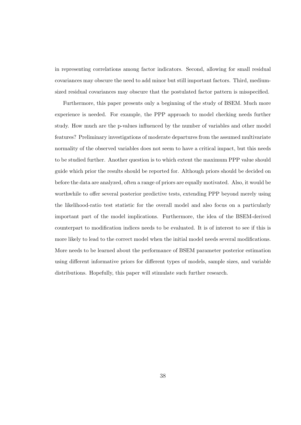in representing correlations among factor indicators. Second, allowing for small residual covariances may obscure the need to add minor but still important factors. Third, mediumsized residual covariances may obscure that the postulated factor pattern is misspecified.

Furthermore, this paper presents only a beginning of the study of BSEM. Much more experience is needed. For example, the PPP approach to model checking needs further study. How much are the p-values influenced by the number of variables and other model features? Preliminary investigations of moderate departures from the assumed multivariate normality of the observed variables does not seem to have a critical impact, but this needs to be studied further. Another question is to which extent the maximum PPP value should guide which prior the results should be reported for. Although priors should be decided on before the data are analyzed, often a range of priors are equally motivated. Also, it would be worthwhile to offer several posterior predictive tests, extending PPP beyond merely using the likelihood-ratio test statistic for the overall model and also focus on a particularly important part of the model implications. Furthermore, the idea of the BSEM-derived counterpart to modification indices needs to be evaluated. It is of interest to see if this is more likely to lead to the correct model when the initial model needs several modifications. More needs to be learned about the performance of BSEM parameter posterior estimation using different informative priors for different types of models, sample sizes, and variable distributions. Hopefully, this paper will stimulate such further research.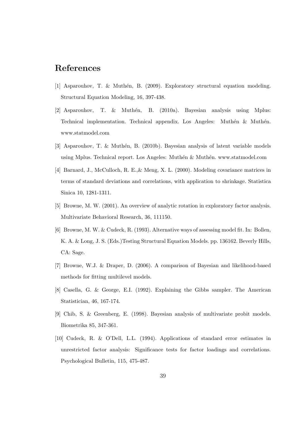## References

- [1] Asparouhov, T. & Muth´en, B. (2009). Exploratory structural equation modeling. Structural Equation Modeling, 16, 397-438.
- [2] Asparouhov, T. & Muthén, B. (2010a). Bayesian analysis using Mplus: Technical implementation. Technical appendix. Los Angeles: Muthén & Muthén. www.statmodel.com
- [3] Asparouhov, T. & Muthén, B. (2010b). Bayesian analysis of latent variable models using Mplus. Technical report. Los Angeles: Muthén & Muthén. www.statmodel.com
- [4] Barnard, J., McCulloch, R. E.,& Meng, X. L. (2000). Modeling covariance matrices in terms of standard deviations and correlations, with application to shrinkage. Statistica Sinica 10, 1281-1311.
- [5] Browne, M. W. (2001). An overview of analytic rotation in exploratory factor analysis. Multivariate Behavioral Research, 36, 111150.
- [6] Browne, M. W. & Cudeck, R. (1993). Alternative ways of assessing model fit. In: Bollen, K. A. & Long, J. S. (Eds.)Testing Structural Equation Models. pp. 136162. Beverly Hills, CA: Sage.
- [7] Browne, W.J. & Draper, D. (2006). A comparison of Bayesian and likelihood-based methods for fitting multilevel models.
- [8] Casella, G. & George, E.I. (1992). Explaining the Gibbs sampler. The American Statistician, 46, 167-174.
- [9] Chib, S. & Greenberg, E. (1998). Bayesian analysis of multivariate probit models. Biometrika 85, 347-361.
- [10] Cudeck, R. & O'Dell, L.L. (1994). Applications of standard error estimates in unrestricted factor analysis: Significance tests for factor loadings and correlations. Psychological Bulletin, 115, 475-487.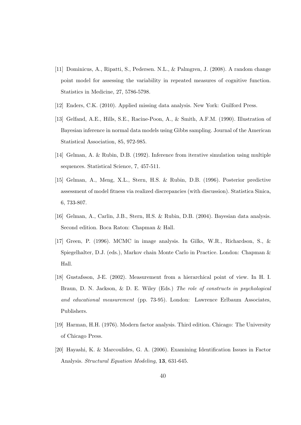- [11] Dominicus, A., Ripatti, S., Pedersen. N.L., & Palmgren, J. (2008). A random change point model for assessing the variability in repeated measures of cognitive function. Statistics in Medicine, 27, 5786-5798.
- [12] Enders, C.K. (2010). Applied missing data analysis. New York: Guilford Press.
- [13] Gelfand, A.E., Hills, S.E., Racine-Poon, A., & Smith, A.F.M. (1990). Illustration of Bayesian inference in normal data models using Gibbs sampling. Journal of the American Statistical Association, 85, 972-985.
- [14] Gelman, A. & Rubin, D.B. (1992). Inference from iterative simulation using multiple sequences. Statistical Science, 7, 457-511.
- [15] Gelman, A., Meng, X.L., Stern, H.S. & Rubin, D.B. (1996). Posterior predictive assessment of model fitness via realized discrepancies (with discussion). Statistica Sinica, 6, 733-807.
- [16] Gelman, A., Carlin, J.B., Stern, H.S. & Rubin, D.B. (2004). Bayesian data analysis. Second edition. Boca Raton: Chapman & Hall.
- [17] Green, P. (1996). MCMC in image analysis. In Gilks, W.R., Richardson, S., & Spiegelhalter, D.J. (eds.), Markov chain Monte Carlo in Practice. London: Chapman & Hall.
- [18] Gustafsson, J-E. (2002). Measurement from a hierarchical point of view. In H. I. Braun, D. N. Jackson, & D. E. Wiley (Eds.) The role of constructs in psychological and educational measurement (pp. 73-95). London: Lawrence Erlbaum Associates, Publishers.
- [19] Harman, H.H. (1976). Modern factor analysis. Third edition. Chicago: The University of Chicago Press.
- [20] Hayashi, K. & Marcoulides, G. A. (2006). Examining Identification Issues in Factor Analysis. Structural Equation Modeling, 13, 631-645.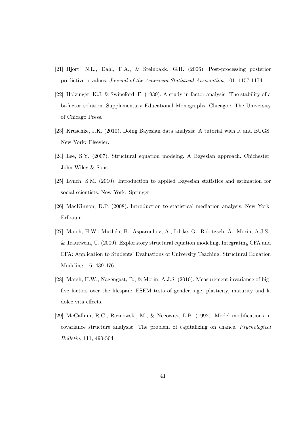- [21] Hjort, N.L., Dahl, F.A., & Steinbakk, G.H. (2006). Post-processing posterior predictive p values. Journal of the American Statistical Association, 101, 1157-1174.
- [22] Holzinger, K.J. & Swineford, F. (1939). A study in factor analysis: The stability of a bi-factor solution. Supplementary Educational Monographs. Chicago.: The University of Chicago Press.
- [23] Kruschke, J.K. (2010). Doing Bayesian data analysis: A tutorial with R and BUGS. New York: Elsevier.
- [24] Lee, S.Y. (2007). Structural equation modelng. A Bayesian approach. Chichester: John Wiley & Sons.
- [25] Lynch, S.M. (2010). Introduction to applied Bayesian statistics and estimation for social scientists. New York: Springer.
- [26] MacKinnon, D.P. (2008). Introduction to statistical mediation analysis. New York: Erlbaum.
- [27] Marsh, H.W., Muthén, B., Asparouhov, A., Ldtke, O., Robitzsch, A., Morin, A.J.S., & Trautwein, U. (2009). Exploratory structural equation modeling, Integrating CFA and EFA: Application to Students' Evaluations of University Teaching. Structural Equation Modeling, 16, 439-476.
- [28] Marsh, H.W., Nagengast, B., & Morin, A.J.S. (2010). Measurement invariance of bigfive factors over the lifespan: ESEM tests of gender, age, plasticity, maturity and la dolce vita effects.
- [29] McCallum, R.C., Roznowski, M., & Necowitz, L.B. (1992). Model modifications in covariance structure analysis: The problem of capitalizing on chance. Psychological Bulletin, 111, 490-504.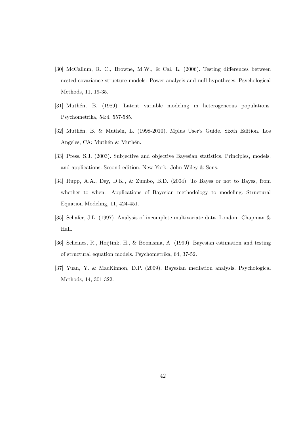- [30] McCallum, R. C., Browne, M.W., & Cai, L. (2006). Testing differences between nested covariance structure models: Power analysis and null hypotheses. Psychological Methods, 11, 19-35.
- [31] Muthén, B. (1989). Latent variable modeling in heterogeneous populations. Psychometrika, 54:4, 557-585.
- [32] Muthén, B. & Muthén, L. (1998-2010). Mplus User's Guide. Sixth Edition. Los Angeles, CA: Muthén & Muthén.
- [33] Press, S.J. (2003). Subjective and objective Bayesian statistics. Principles, models, and applications. Second edition. New York: John Wiley & Sons.
- [34] Rupp, A.A., Dey, D.K., & Zumbo, B.D. (2004). To Bayes or not to Bayes, from whether to when: Applications of Bayesian methodology to modeling. Structural Equation Modeling, 11, 424-451.
- [35] Schafer, J.L. (1997). Analysis of incomplete multivariate data. London: Chapman & Hall.
- [36] Scheines, R., Hoijtink, H., & Boomsma, A. (1999). Bayesian estimation and testing of structural equation models. Psychometrika, 64, 37-52.
- [37] Yuan, Y. & MacKinnon, D.P. (2009). Bayesian mediation analysis. Psychological Methods, 14, 301-322.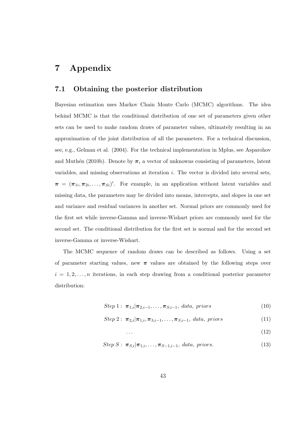## 7 Appendix

### 7.1 Obtaining the posterior distribution

Bayesian estimation uses Markov Chain Monte Carlo (MCMC) algorithms. The idea behind MCMC is that the conditional distribution of one set of parameters given other sets can be used to make random draws of parameter values, ultimately resulting in an approximation of the joint distribution of all the parameters. For a technical discussion, see, e.g., Gelman et al. (2004). For the technical implementation in Mplus, see Asparohov and Muthén (2010b). Denote by  $\pi_i$  a vector of unknowns consisting of parameters, latent variables, and missing observations at iteration i. The vector is divided into several sets,  $\pi = (\pi_{1i}, \pi_{2i}, \ldots, \pi_{Si})'$ . For example, in an application without latent variables and missing data, the parameters may be divided into means, intercepts, and slopes in one set and variance and residual variances in another set. Normal priors are commonly used for the first set while inverse-Gamma and inverse-Wishart priors are commonly used for the second set. The conditional distribution for the first set is normal and for the second set inverse-Gamma or inverse-Wishart.

The MCMC sequence of random draws can be described as follows. Using a set of parameter starting values, new  $\pi$  values are obtained by the following steps over  $i = 1, 2, \ldots, n$  iterations, in each step drawing from a conditional posterior parameter distribution:

Step 1: 
$$
\pi_{1,i}|\pi_{2,i-1},\ldots,\pi_{S,i-1},\text{ data, priors}
$$
 (10)

Step 2: 
$$
\pi_{2,i}|\pi_{1,i}, \pi_{3,i-1}, \ldots, \pi_{S,i-1}, data, priors
$$
 (11)

$$
\cdots \hspace{2.5cm} (12)
$$

Step S: 
$$
\pi_{S,i}|\pi_{1,i},\ldots,\pi_{S-1,i-1},\text{ data, priors.}
$$
 (13)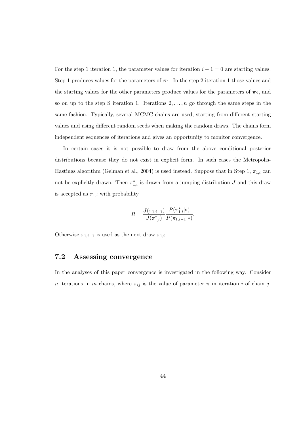For the step 1 iteration 1, the parameter values for iteration  $i - 1 = 0$  are starting values. Step 1 produces values for the parameters of  $\pi_1$ . In the step 2 iteration 1 those values and the starting values for the other parameters produce values for the parameters of  $\pi_2$ , and so on up to the step S iteration 1. Iterations  $2, \ldots, n$  go through the same steps in the same fashion. Typically, several MCMC chains are used, starting from different starting values and using different random seeds when making the random draws. The chains form independent sequences of iterations and gives an opportunity to monitor convergence.

In certain cases it is not possible to draw from the above conditional posterior distributions because they do not exist in explicit form. In such cases the Metropolis-Hastings algorithm (Gelman et al., 2004) is used instead. Suppose that in Step 1,  $\pi_{1,i}$  can not be explicitly drawn. Then  $\pi_{1,i}^*$  is drawn from a jumping distribution J and this draw is accepted as  $\pi_{1,i}$  with probability

$$
R = \frac{J(\pi_{1,i-1})}{J(\pi_{1,i}^*)} \frac{P(\pi_{1,i}^*|*)}{P(\pi_{1,i-1}|*)}.
$$

Otherwise  $\pi_{1,i-1}$  is used as the next draw  $\pi_{1,i}$ .

### 7.2 Assessing convergence

In the analyses of this paper convergence is investigated in the following way. Consider n iterations in m chains, where  $\pi_{ij}$  is the value of parameter  $\pi$  in iteration i of chain j.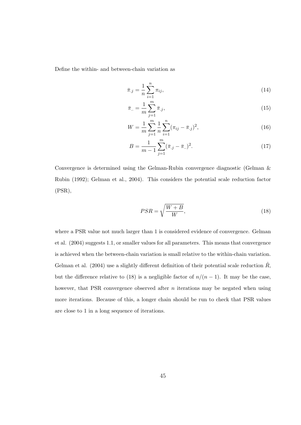Define the within- and between-chain variation as

$$
\bar{\pi}_{.j} = \frac{1}{n} \sum_{i=1}^{n} \pi_{ij},\tag{14}
$$

$$
\bar{\pi}_{..} = \frac{1}{m} \sum_{j=1}^{m} \bar{\pi}_{.j},\tag{15}
$$

$$
W = \frac{1}{m} \sum_{j=1}^{m} \frac{1}{n} \sum_{i=1}^{n} (\pi_{ij} - \bar{\pi}_{.j})^2,
$$
\n(16)

$$
B = \frac{1}{m-1} \sum_{j=1}^{m} (\bar{\pi}_{.j} - \bar{\pi}_{..})^2.
$$
 (17)

Convergence is determined using the Gelman-Rubin convergence diagnostic (Gelman & Rubin (1992); Gelman et al., 2004). This considers the potential scale reduction factor (PSR),

$$
PSR = \sqrt{\frac{W+B}{W}},\tag{18}
$$

where a PSR value not much larger than 1 is considered evidence of convergence. Gelman et al. (2004) suggests 1.1, or smaller values for all parameters. This means that convergence is achieved when the between-chain variation is small relative to the within-chain variation. Gelman et al. (2004) use a slightly different definition of their potential scale reduction  $\ddot{R}$ , but the difference relative to (18) is a negligible factor of  $n/(n-1)$ . It may be the case, however, that PSR convergence observed after  $n$  iterations may be negated when using more iterations. Because of this, a longer chain should be run to check that PSR values are close to 1 in a long sequence of iterations.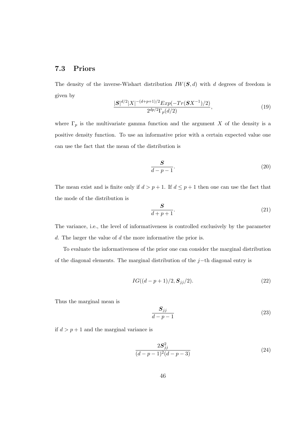## 7.3 Priors

The density of the inverse-Wishart distribution  $IW(S, d)$  with d degrees of freedom is given by

$$
\frac{|S|^{d/2}|X|^{-(d+p+1)/2}Exp(-Tr(SX^{-1})/2)}{2^{dp/2}\Gamma_p(d/2)},
$$
\n(19)

where  $\Gamma_p$  is the multivariate gamma function and the argument X of the density is a positive density function. To use an informative prior with a certain expected value one can use the fact that the mean of the distribution is

$$
\frac{S}{d-p-1}.\tag{20}
$$

The mean exist and is finite only if  $d > p + 1$ . If  $d \leq p + 1$  then one can use the fact that the mode of the distribution is

$$
\frac{S}{d+p+1}.\tag{21}
$$

The variance, i.e., the level of informativeness is controlled exclusively by the parameter d. The larger the value of d the more informative the prior is.

To evaluate the informativeness of the prior one can consider the marginal distribution of the diagonal elements. The marginal distribution of the j−th diagonal entry is

$$
IG((d-p+1)/2, \mathbf{S}_{jj}/2). \tag{22}
$$

Thus the marginal mean is

$$
\frac{S_{jj}}{d-p-1} \tag{23}
$$

if  $d > p + 1$  and the marginal variance is

$$
\frac{2S_{jj}^2}{(d-p-1)^2(d-p-3)}
$$
\n(24)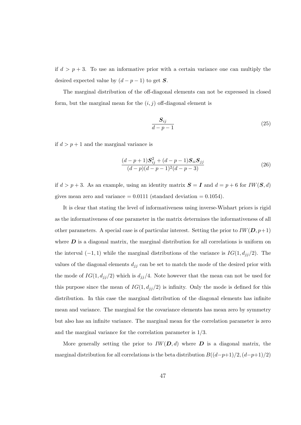if  $d > p + 3$ . To use an informative prior with a certain variance one can multiply the desired expected value by  $(d - p - 1)$  to get S.

The marginal distribution of the off-diagonal elements can not be expressed in closed form, but the marginal mean for the  $(i, j)$  off-diagonal element is

$$
\frac{S_{ij}}{d-p-1} \tag{25}
$$

if  $d > p + 1$  and the marginal variance is

$$
\frac{(d-p+1)\mathbf{S}_{ij}^2 + (d-p-1)\mathbf{S}_{ii}\mathbf{S}_{jj}}{(d-p)(d-p-1)^2(d-p-3)}
$$
(26)

if  $d > p + 3$ . As an example, using an identity matrix  $S = I$  and  $d = p + 6$  for  $IW(S, d)$ gives mean zero and variance  $= 0.0111$  (standard deviation  $= 0.1054$ ).

It is clear that stating the level of informativeness using inverse-Wishart priors is rigid as the informativeness of one parameter in the matrix determines the informativeness of all other parameters. A special case is of particular interest. Setting the prior to  $IW(D, p+1)$ where  $\bm{D}$  is a diagonal matrix, the marginal distribution for all correlations is uniform on the interval  $(-1, 1)$  while the marginal distributions of the variance is  $IG(1, d_{jj}/2)$ . The values of the diagonal elements  $d_{jj}$  can be set to match the mode of the desired prior with the mode of  $IG(1, d_{jj}/2)$  which is  $d_{jj}/4$ . Note however that the mean can not be used for this purpose since the mean of  $IG(1, d_{jj}/2)$  is infinity. Only the mode is defined for this distribution. In this case the marginal distribution of the diagonal elements has infinite mean and variance. The marginal for the covariance elements has mean zero by symmetry but also has an infinite variance. The marginal mean for the correlation parameter is zero and the marginal variance for the correlation parameter is 1/3.

More generally setting the prior to  $IW(D, d)$  where D is a diagonal matrix, the marginal distribution for all correlations is the beta distribution  $B((d-p+1)/2,(d-p+1)/2)$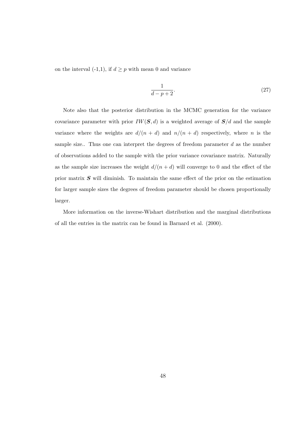on the interval (-1,1), if  $d \geq p$  with mean 0 and variance

$$
\frac{1}{d-p+2}.\tag{27}
$$

Note also that the posterior distribution in the MCMC generation for the variance covariance parameter with prior  $IW(S, d)$  is a weighted average of  $S/d$  and the sample variance where the weights are  $d/(n + d)$  and  $n/(n + d)$  respectively, where n is the sample size.. Thus one can interpret the degrees of freedom parameter  $d$  as the number of observations added to the sample with the prior variance covariance matrix. Naturally as the sample size increases the weight  $d/(n + d)$  will converge to 0 and the effect of the prior matrix  $S$  will diminish. To maintain the same effect of the prior on the estimation for larger sample sizes the degrees of freedom parameter should be chosen proportionally larger.

More information on the inverse-Wishart distribution and the marginal distributions of all the entries in the matrix can be found in Barnard et al. (2000).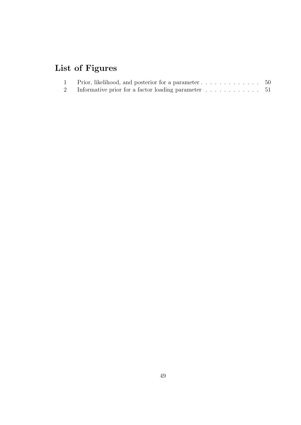# List of Figures

| Prior, likelihood, and posterior for a parameter $\dots \dots \dots \dots \dots \dots$ |  |
|----------------------------------------------------------------------------------------|--|
|                                                                                        |  |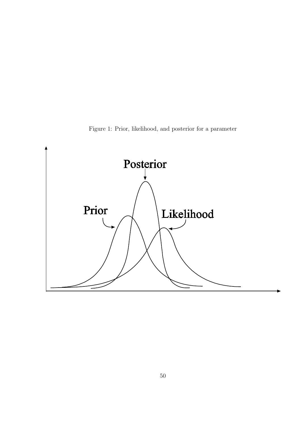Figure 1: Prior, likelihood, and posterior for a parameter

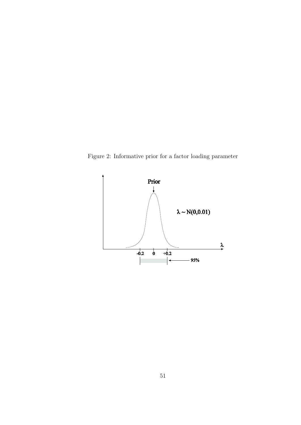Figure 2: Informative prior for a factor loading parameter

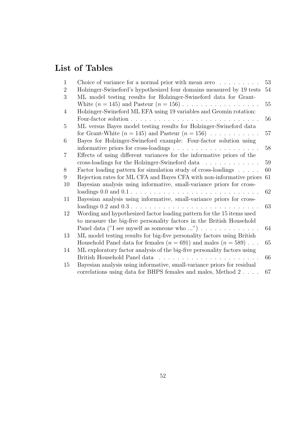# List of Tables

| $\mathbf{1}$   | Choice of variance for a normal prior with mean zero $\dots \dots$                                                                  | 53 |
|----------------|-------------------------------------------------------------------------------------------------------------------------------------|----|
| $\overline{2}$ | Holzinger-Swineford's hypothesized four domains measured by 19 tests                                                                | 54 |
| 3              | ML model testing results for Holzinger-Swineford data for Grant-                                                                    |    |
|                |                                                                                                                                     | 55 |
| 4              | Holzinger-Swineford ML EFA using 19 variables and Geomin rotation:                                                                  |    |
|                | Four-factor solution<br>and the company of the                                                                                      | 56 |
| 5              | ML versus Bayes model testing results for Holzinger-Swineford data                                                                  |    |
|                | for Grant-White $(n = 145)$ and Pasteur $(n = 156) \dots \dots \dots$                                                               | 57 |
| 6              | Bayes for Holzinger-Swineford example: Four-factor solution using                                                                   |    |
|                | informative priors for cross-loadings $\dots \dots \dots \dots \dots \dots \dots$                                                   | 58 |
| $\overline{7}$ | Effects of using different variances for the informative priors of the                                                              |    |
|                | cross-loadings for the Holzinger-Swineford data                                                                                     | 59 |
| 8              | Factor loading pattern for simulation study of cross-loadings                                                                       | 60 |
| 9              | Rejection rates for ML CFA and Bayes CFA with non-informative priors                                                                | 61 |
| 10             | Bayesian analysis using informative, small-variance priors for cross-                                                               |    |
|                |                                                                                                                                     | 62 |
| 11             | Bayesian analysis using informative, small-variance priors for cross-                                                               |    |
|                |                                                                                                                                     | 63 |
| 12             | Wording and hypothesized factor loading pattern for the 15 items used                                                               |    |
|                | to measure the big-five personality factors in the British Household                                                                |    |
|                | Panel data ("I see myself as someone who ") $\ldots \ldots \ldots \ldots$                                                           | 64 |
| 13             | ML model testing results for big-five personality factors using British                                                             |    |
|                | Household Panel data for females $(n = 691)$ and males $(n = 589)$                                                                  | 65 |
| 14             | ML exploratory factor analysis of the big-five personality factors using                                                            |    |
|                | British Household Panel data<br>$\mathcal{L}_{\text{max}}$ , $\mathcal{L}_{\text{max}}$<br><u>a di serie di serie di serie di s</u> | 66 |
| 15             | Bayesian analysis using informative, small-variance priors for residual                                                             |    |
|                | correlations using data for BHPS females and males, Method 2.                                                                       | 67 |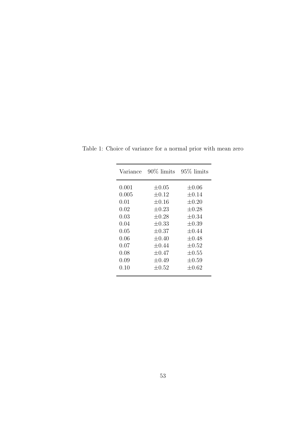| Variance | 90% limits | $95\%$ limits |
|----------|------------|---------------|
| 0.001    | $\pm 0.05$ | $\pm 0.06$    |
| 0.005    | $\pm 0.12$ | $\pm 0.14$    |
| 0.01     | $\pm 0.16$ | $\pm 0.20$    |
| 0.02     | $\pm 0.23$ | $\pm 0.28$    |
| 0.03     | $\pm 0.28$ | $\pm 0.34$    |
| 0.04     | $\pm 0.33$ | $\pm 0.39$    |
| 0.05     | $\pm 0.37$ | $+0.44$       |
| 0.06     | $\pm 0.40$ | $\pm 0.48$    |
| $0.07\,$ | $\pm 0.44$ | $\pm 0.52$    |
| 0.08     | $+0.47$    | $\pm 0.55$    |
| 0.09     | $\pm 0.49$ | $\pm 0.59$    |
| 0.10     | $\pm 0.52$ | $\pm 0.62$    |
|          |            |               |

Table 1: Choice of variance for a normal prior with mean zero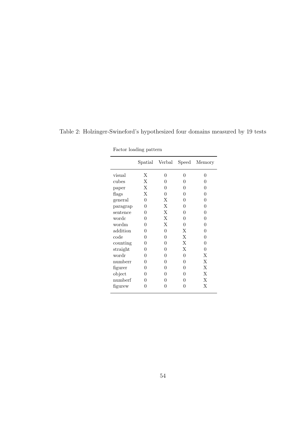|          |   | Spatial Verbal | Speed    | Memory   |
|----------|---|----------------|----------|----------|
| visual   | Χ | 0              | 0        | 0        |
| cubes    | Χ | 0              | 0        | 0        |
| paper    | X | 0              | 0        | O        |
| flags    | Χ | 0              | 0        | 0        |
| general  | 0 | X              | 0        | 0        |
| paragrap | 0 | Χ              | O        | 0        |
| sentence | 0 | X              | 0        | 0        |
| wordc    | 0 | X              | 0        | 0        |
| wordm    | 0 | X              | 0        | 0        |
| addition | 0 | $\Omega$       | X        | 0        |
| code     | 0 | 0              | X        | 0        |
| counting | 0 | 0              | X        | $\Omega$ |
| straight | 0 | 0              | X        | 0        |
| wordr    | 0 | 0              | $\theta$ | X        |
| numberr  | 0 | 0              | 0        | X        |
| figurer  | 0 | 0              | 0        | X        |
| object   | 0 | 0              | 0        | X        |
| numberf  | 0 | 0              | 0        | X        |
| figurew  | 0 | 0              | 0        | X        |

Table 2: Holzinger-Swineford's hypothesized four domains measured by 19 tests

Factor loading pattern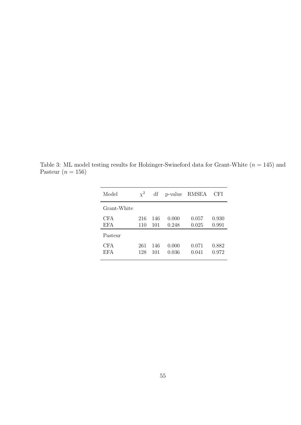Table 3: ML model testing results for Holzinger-Swineford data for Grant-White  $(n = 145)$  and Pasteur $(n = 156)$ 

| Model             | $\chi^2$   | df         | p-value        | RMSEA          | CFI            |
|-------------------|------------|------------|----------------|----------------|----------------|
| Grant-White       |            |            |                |                |                |
| CFA<br><b>EFA</b> | 216<br>110 | 146<br>101 | 0.000<br>0.248 | 0.057<br>0.025 | 0.930<br>0.991 |
| Pasteur           |            |            |                |                |                |
| CFA<br>EFA        | 261<br>128 | 146<br>101 | 0.000<br>0.036 | 0.071<br>0.041 | 0.882<br>0.972 |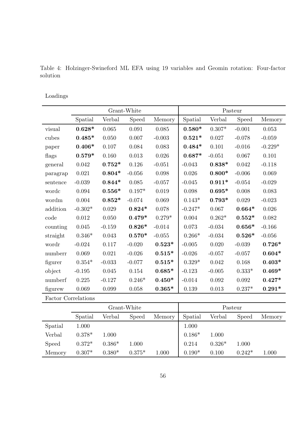Table 4: Holzinger-Swineford ML EFA using 19 variables and Geomin rotation: Four-factor solution

## Loadings

|          | Grant-White |          |          | Pasteur  |           |          |          |           |
|----------|-------------|----------|----------|----------|-----------|----------|----------|-----------|
|          | Spatial     | Verbal   | Speed    | Memory   | Spatial   | Verbal   | Speed    | Memory    |
| visual   | $0.628*$    | 0.065    | 0.091    | 0.085    | $0.580*$  | $0.307*$ | $-0.001$ | 0.053     |
| cubes    | $0.485*$    | 0.050    | 0.007    | $-0.003$ | $0.521*$  | 0.027    | $-0.078$ | $-0.059$  |
| paper    | $0.406*$    | 0.107    | 0.084    | 0.083    | $0.484*$  | 0.101    | $-0.016$ | $-0.229*$ |
| flags    | $0.579*$    | 0.160    | 0.013    | 0.026    | $0.687*$  | $-0.051$ | 0.067    | 0.101     |
| general  | 0.042       | $0.752*$ | 0.126    | $-0.051$ | $-0.043$  | $0.838*$ | 0.042    | $-0.118$  |
| paragrap | 0.021       | $0.804*$ | $-0.056$ | 0.098    | 0.026     | $0.800*$ | $-0.006$ | 0.069     |
| sentence | $-0.039$    | $0.844*$ | 0.085    | $-0.057$ | $-0.045$  | $0.911*$ | $-0.054$ | $-0.029$  |
| wordc    | 0.094       | $0.556*$ | $0.197*$ | 0.019    | 0.098     | $0.695*$ | 0.008    | 0.083     |
| wordm    | 0.004       | $0.852*$ | $-0.074$ | 0.069    | $0.143*$  | $0.793*$ | 0.029    | $-0.023$  |
| addition | $-0.302*$   | 0.029    | $0.824*$ | 0.078    | $-0.247*$ | 0.067    | $0.664*$ | 0.026     |
| code     | 0.012       | 0.050    | $0.479*$ | $0.279*$ | 0.004     | $0.262*$ | $0.552*$ | 0.082     |
| counting | 0.045       | $-0.159$ | $0.826*$ | $-0.014$ | 0.073     | $-0.034$ | $0.656*$ | $-0.166$  |
| straight | $0.346*$    | 0.043    | $0.570*$ | $-0.055$ | $0.266*$  | $-0.034$ | $0.526*$ | $-0.056$  |
| wordr    | $-0.024$    | 0.117    | $-0.020$ | $0.523*$ | $-0.005$  | 0.020    | $-0.039$ | $0.726*$  |
| numberr  | 0.069       | 0.021    | $-0.026$ | $0.515*$ | $-0.026$  | $-0.057$ | $-0.057$ | $0.604*$  |
| figurer  | $0.354*$    | $-0.033$ | $-0.077$ | $0.515*$ | $0.329*$  | 0.042    | 0.168    | $0.403*$  |
| object   | $-0.195$    | 0.045    | 0.154    | $0.685*$ | $-0.123$  | $-0.005$ | $0.333*$ | $0.469*$  |
| numberf  | 0.225       | $-0.127$ | $0.246*$ | $0.450*$ | $-0.014$  | 0.092    | 0.092    | $0.427*$  |
| figurew  | 0.069       | 0.099    | 0.058    | $0.365*$ | 0.139     | 0.013    | $0.237*$ | $0.291*$  |

Factor Correlations

|              | Grant-White |          |          |        |          |          | Pasteur  |        |
|--------------|-------------|----------|----------|--------|----------|----------|----------|--------|
|              | Spatial     | Verbal   | Speed    | Memory | Spatial  | Verbal   | Speed    | Memory |
| Spatial      | 1.000       |          |          |        | 1.000    |          |          |        |
| Verbal       | $0.378*$    | 1.000    |          |        | $0.186*$ | 1.000    |          |        |
| <b>Speed</b> | $0.372*$    | $0.386*$ | 1.000    |        | 0.214    | $0.326*$ | 1.000    |        |
| Memory       | $0.307*$    | $0.380*$ | $0.375*$ | 1.000  | $0.190*$ | 0.100    | $0.242*$ | 1.000  |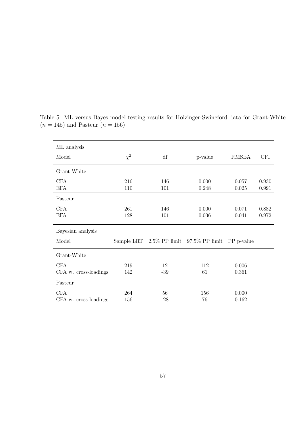| ML analysis                         |            |             |                                                    |                |                |
|-------------------------------------|------------|-------------|----------------------------------------------------|----------------|----------------|
| Model                               | $\chi^2$   | df          | p-value                                            | <b>RMSEA</b>   | <b>CFI</b>     |
| Grant-White                         |            |             |                                                    |                |                |
| <b>CFA</b><br><b>EFA</b>            | 216<br>110 | 146<br>101  | 0.000<br>0.248                                     | 0.057<br>0.025 | 0.930<br>0.991 |
| Pasteur                             |            |             |                                                    |                |                |
| <b>CFA</b><br><b>EFA</b>            | 261<br>128 | 146<br>101  | 0.000<br>0.036                                     | 0.071<br>0.041 | 0.882<br>0.972 |
|                                     |            |             |                                                    |                |                |
| Bayesian analysis                   |            |             |                                                    |                |                |
| Model                               |            |             | Sample LRT 2.5% PP limit 97.5% PP limit PP p-value |                |                |
| Grant-White                         |            |             |                                                    |                |                |
| <b>CFA</b><br>CFA w. cross-loadings | 219<br>142 | 12<br>$-39$ | 112<br>61                                          | 0.006<br>0.361 |                |
| Pasteur                             |            |             |                                                    |                |                |

Table 5: ML versus Bayes model testing results for Holzinger-Swineford data for Grant-White  $(n = 145)$  and Pasteur  $(n = 156)$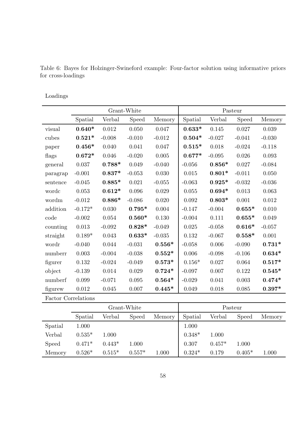|          | Grant-White |          |          | Pasteur  |          |          |             |                |
|----------|-------------|----------|----------|----------|----------|----------|-------------|----------------|
|          | Spatial     | Verbal   | Speed    | Memory   | Spatial  | Verbal   | Speed       | Memory         |
| visual   | $0.640*$    | 0.012    | 0.050    | 0.047    | $0.633*$ | 0.145    | 0.027       | 0.039          |
| cubes    | $0.521*$    | $-0.008$ | $-0.010$ | $-0.012$ | $0.504*$ | $-0.027$ | $-0.041$    | $-0.030$       |
| paper    | $0.456*$    | 0.040    | 0.041    | 0.047    | $0.515*$ | 0.018    | $-0.024$    | $-0.118$       |
| flags    | $0.672*$    | 0.046    | $-0.020$ | 0.005    | $0.677*$ | $-0.095$ | 0.026       | 0.093          |
| general  | 0.037       | $0.788*$ | 0.049    | $-0.040$ | $-0.056$ | $0.856*$ | 0.027       | $-0.084$       |
| paragrap | $-0.001$    | $0.837*$ | $-0.053$ | 0.030    | 0.015    | $0.801*$ | $-0.011$    | 0.050          |
| sentence | $-0.045$    | $0.885*$ | 0.021    | $-0.055$ | $-0.063$ | $0.925*$ | $-0.032$    | $-0.036$       |
| wordc    | 0.053       | $0.612*$ | 0.096    | 0.029    | 0.055    | $0.694*$ | $\,0.013\,$ | 0.063          |
| wordm    | $-0.012$    | $0.886*$ | $-0.086$ | 0.020    | 0.092    | $0.803*$ | 0.001       | 0.012          |
| addition | $-0.172*$   | 0.030    | $0.795*$ | 0.004    | $-0.147$ | $-0.004$ | $0.655*$    | 0.010          |
| code     | $-0.002$    | 0.054    | $0.560*$ | 0.130    | $-0.004$ | 0.111    | $0.655*$    | 0.049          |
| counting | 0.013       | $-0.092$ | $0.828*$ | $-0.049$ | 0.025    | $-0.058$ | $0.616*$    | $-0.057$       |
| straight | $0.189*$    | 0.043    | $0.633*$ | $-0.035$ | 0.132    | $-0.067$ | $0.558*$    | 0.001          |
| wordr    | $-0.040$    | 0.044    | $-0.031$ | $0.556*$ | $-0.058$ | 0.006    | $-0.090$    | $0.731*$       |
| numberr  | 0.003       | $-0.004$ | $-0.038$ | $0.552*$ | 0.006    | $-0.098$ | $-0.106$    | $0.634*$       |
| figurer  | 0.132       | $-0.024$ | $-0.049$ | $0.573*$ | $0.156*$ | 0.027    | 0.064       | $0.517*$       |
| object   | $-0.139$    | 0.014    | 0.029    | $0.724*$ | $-0.097$ | 0.007    | 0.122       | $0.545*$       |
| numberf  | 0.099       | $-0.071$ | 0.095    | $0.564*$ | $-0.029$ | 0.041    | 0.003       | $0.474*$       |
| figurew  | $0.012\,$   | 0.045    | 0.007    | $0.445*$ | 0.049    | 0.018    | 0.085       | $0.397^{\ast}$ |

Table 6: Bayes for Holzinger-Swineford example: Four-factor solution using informative priors for cross-loadings

Loadings

Factor Correlations

|              |          |          | Grant-White  |        |          | Pasteur  |          |        |
|--------------|----------|----------|--------------|--------|----------|----------|----------|--------|
|              | Spatial  | Verbal   | <b>Speed</b> | Memory | Spatial  | Verbal   | Speed    | Memory |
| Spatial      | 1.000    |          |              |        | 1.000    |          |          |        |
| Verbal       | $0.535*$ | 1.000    |              |        | $0.348*$ | 1.000    |          |        |
| <b>Speed</b> | $0.471*$ | $0.443*$ | 1.000        |        | 0.307    | $0.457*$ | 1.000    |        |
| Memory       | $0.526*$ | $0.515*$ | $0.557*$     | 1.000  | $0.324*$ | 0.179    | $0.405*$ | 1.000  |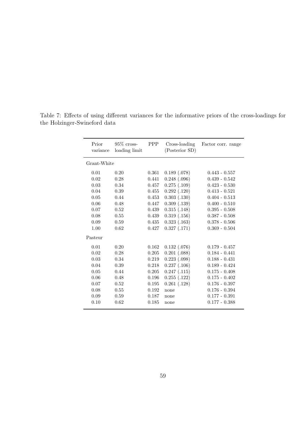| Grant-White<br>0.189(0.078)<br>0.01<br>0.20<br>0.361<br>$0.443 - 0.557$<br>$0.248$ $(.096)$<br>0.02<br>0.28<br>0.441<br>$0.439 - 0.542$<br>$0.275$ $(.109)$<br>0.03<br>0.34<br>0.457<br>$0.423 - 0.530$<br>$0.292$ $(.120)$<br>0.04<br>0.39<br>0.455<br>$0.413 - 0.521$<br>$0.303$ $(.130)$<br>0.05<br>0.44<br>0.453<br>$0.404 - 0.513$<br>$0.309$ $(.139)$<br>0.06<br>0.48<br>$0.400 - 0.510$<br>0.447<br>0.07<br>$0.315$ $(.148)$<br>0.52<br>0.439<br>$0.395 - 0.508$<br>0.08<br>0.55<br>0.319(0.156)<br>0.439<br>$0.387 - 0.508$<br>0.09<br>0.59<br>0.435<br>0.323(0.163)<br>$0.378 - 0.506$<br>0.327(0.171)<br>1.00<br>0.62<br>0.427<br>$0.369 - 0.504$<br>Pasteur<br>0.20<br>0.132(0.076)<br>0.01<br>0.162<br>$0.179 - 0.457$<br>$0.201$ $(.088)$<br>0.02<br>$0.184 - 0.441$<br>0.28<br>0.205<br>$0.223$ $(.098)$<br>0.03<br>0.34<br>0.219<br>$0.188 - 0.431$<br>0.04<br>0.39<br>0.218<br>$0.237$ $(.106)$<br>$0.189 - 0.424$<br>0.05<br>0.44<br>0.247(0.115)<br>0.205<br>$0.175 - 0.408$<br>$0.255$ $(.122)$<br>0.06<br>0.48<br>0.196<br>$0.175 - 0.402$<br>$0.261$ $(.128)$<br>0.07<br>0.52<br>0.195<br>$0.176 - 0.397$<br>0.08<br>0.55<br>0.192<br>$0.176 - 0.394$<br>none<br>0.09<br>0.59<br>0.187<br>$0.177 - 0.391$<br>none<br>0.10<br>0.62<br>0.185<br>$0.177 - 0.388$<br>none | Prior<br>variance | $95\%$ cross-<br>loading limit | <b>PPP</b> | Cross-loading<br>(Posterior SD) | Factor corr. range |
|--------------------------------------------------------------------------------------------------------------------------------------------------------------------------------------------------------------------------------------------------------------------------------------------------------------------------------------------------------------------------------------------------------------------------------------------------------------------------------------------------------------------------------------------------------------------------------------------------------------------------------------------------------------------------------------------------------------------------------------------------------------------------------------------------------------------------------------------------------------------------------------------------------------------------------------------------------------------------------------------------------------------------------------------------------------------------------------------------------------------------------------------------------------------------------------------------------------------------------------------------------------------------------------------|-------------------|--------------------------------|------------|---------------------------------|--------------------|
|                                                                                                                                                                                                                                                                                                                                                                                                                                                                                                                                                                                                                                                                                                                                                                                                                                                                                                                                                                                                                                                                                                                                                                                                                                                                                            |                   |                                |            |                                 |                    |
|                                                                                                                                                                                                                                                                                                                                                                                                                                                                                                                                                                                                                                                                                                                                                                                                                                                                                                                                                                                                                                                                                                                                                                                                                                                                                            |                   |                                |            |                                 |                    |
|                                                                                                                                                                                                                                                                                                                                                                                                                                                                                                                                                                                                                                                                                                                                                                                                                                                                                                                                                                                                                                                                                                                                                                                                                                                                                            |                   |                                |            |                                 |                    |
|                                                                                                                                                                                                                                                                                                                                                                                                                                                                                                                                                                                                                                                                                                                                                                                                                                                                                                                                                                                                                                                                                                                                                                                                                                                                                            |                   |                                |            |                                 |                    |
|                                                                                                                                                                                                                                                                                                                                                                                                                                                                                                                                                                                                                                                                                                                                                                                                                                                                                                                                                                                                                                                                                                                                                                                                                                                                                            |                   |                                |            |                                 |                    |
|                                                                                                                                                                                                                                                                                                                                                                                                                                                                                                                                                                                                                                                                                                                                                                                                                                                                                                                                                                                                                                                                                                                                                                                                                                                                                            |                   |                                |            |                                 |                    |
|                                                                                                                                                                                                                                                                                                                                                                                                                                                                                                                                                                                                                                                                                                                                                                                                                                                                                                                                                                                                                                                                                                                                                                                                                                                                                            |                   |                                |            |                                 |                    |
|                                                                                                                                                                                                                                                                                                                                                                                                                                                                                                                                                                                                                                                                                                                                                                                                                                                                                                                                                                                                                                                                                                                                                                                                                                                                                            |                   |                                |            |                                 |                    |
|                                                                                                                                                                                                                                                                                                                                                                                                                                                                                                                                                                                                                                                                                                                                                                                                                                                                                                                                                                                                                                                                                                                                                                                                                                                                                            |                   |                                |            |                                 |                    |
|                                                                                                                                                                                                                                                                                                                                                                                                                                                                                                                                                                                                                                                                                                                                                                                                                                                                                                                                                                                                                                                                                                                                                                                                                                                                                            |                   |                                |            |                                 |                    |
|                                                                                                                                                                                                                                                                                                                                                                                                                                                                                                                                                                                                                                                                                                                                                                                                                                                                                                                                                                                                                                                                                                                                                                                                                                                                                            |                   |                                |            |                                 |                    |
|                                                                                                                                                                                                                                                                                                                                                                                                                                                                                                                                                                                                                                                                                                                                                                                                                                                                                                                                                                                                                                                                                                                                                                                                                                                                                            |                   |                                |            |                                 |                    |
|                                                                                                                                                                                                                                                                                                                                                                                                                                                                                                                                                                                                                                                                                                                                                                                                                                                                                                                                                                                                                                                                                                                                                                                                                                                                                            |                   |                                |            |                                 |                    |
|                                                                                                                                                                                                                                                                                                                                                                                                                                                                                                                                                                                                                                                                                                                                                                                                                                                                                                                                                                                                                                                                                                                                                                                                                                                                                            |                   |                                |            |                                 |                    |
|                                                                                                                                                                                                                                                                                                                                                                                                                                                                                                                                                                                                                                                                                                                                                                                                                                                                                                                                                                                                                                                                                                                                                                                                                                                                                            |                   |                                |            |                                 |                    |
|                                                                                                                                                                                                                                                                                                                                                                                                                                                                                                                                                                                                                                                                                                                                                                                                                                                                                                                                                                                                                                                                                                                                                                                                                                                                                            |                   |                                |            |                                 |                    |
|                                                                                                                                                                                                                                                                                                                                                                                                                                                                                                                                                                                                                                                                                                                                                                                                                                                                                                                                                                                                                                                                                                                                                                                                                                                                                            |                   |                                |            |                                 |                    |
|                                                                                                                                                                                                                                                                                                                                                                                                                                                                                                                                                                                                                                                                                                                                                                                                                                                                                                                                                                                                                                                                                                                                                                                                                                                                                            |                   |                                |            |                                 |                    |
|                                                                                                                                                                                                                                                                                                                                                                                                                                                                                                                                                                                                                                                                                                                                                                                                                                                                                                                                                                                                                                                                                                                                                                                                                                                                                            |                   |                                |            |                                 |                    |
|                                                                                                                                                                                                                                                                                                                                                                                                                                                                                                                                                                                                                                                                                                                                                                                                                                                                                                                                                                                                                                                                                                                                                                                                                                                                                            |                   |                                |            |                                 |                    |
|                                                                                                                                                                                                                                                                                                                                                                                                                                                                                                                                                                                                                                                                                                                                                                                                                                                                                                                                                                                                                                                                                                                                                                                                                                                                                            |                   |                                |            |                                 |                    |
|                                                                                                                                                                                                                                                                                                                                                                                                                                                                                                                                                                                                                                                                                                                                                                                                                                                                                                                                                                                                                                                                                                                                                                                                                                                                                            |                   |                                |            |                                 |                    |

Table 7: Effects of using different variances for the informative priors of the cross-loadings for the Holzinger-Swineford data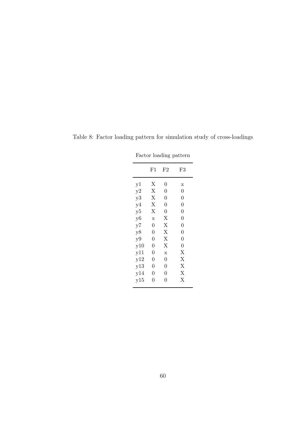| Factor loading pattern |                                  |                |                         |  |  |  |  |
|------------------------|----------------------------------|----------------|-------------------------|--|--|--|--|
|                        | $_{\rm F1}$<br>$_{\rm F2}$<br>F3 |                |                         |  |  |  |  |
| y1                     | Х                                | 0              | $\overline{\mathbf{x}}$ |  |  |  |  |
| y2                     | Χ                                | $\overline{0}$ | $\overline{0}$          |  |  |  |  |
| y3                     | Х                                | $\overline{0}$ | $\overline{0}$          |  |  |  |  |
| y4                     | Х                                | $\overline{0}$ | $\overline{0}$          |  |  |  |  |
| y5                     | Х                                | 0              | $\overline{0}$          |  |  |  |  |
| y <sub>6</sub>         | $\bar{x}$                        | Χ              | $\overline{0}$          |  |  |  |  |
| y7                     | $\overline{0}$                   | Χ              | $\overline{0}$          |  |  |  |  |
| y8                     | $\overline{0}$                   | Χ              | $\overline{0}$          |  |  |  |  |
| y9                     | $\overline{0}$                   | Χ              | $\overline{0}$          |  |  |  |  |
| y10                    | $\overline{0}$                   | Х              | $\overline{0}$          |  |  |  |  |
| y11                    | 0                                | $\mathbf x$    | X                       |  |  |  |  |
| y12                    | $\overline{0}$                   | $\overline{0}$ | Х                       |  |  |  |  |
| y13                    | $\overline{0}$                   | $\overline{0}$ | X                       |  |  |  |  |
| y14                    | $\overline{0}$                   | $\overline{0}$ | $\overline{X}$          |  |  |  |  |
| y15                    | 0                                | $\Omega$       | Х                       |  |  |  |  |

Table 8: Factor loading pattern for simulation study of cross-loadings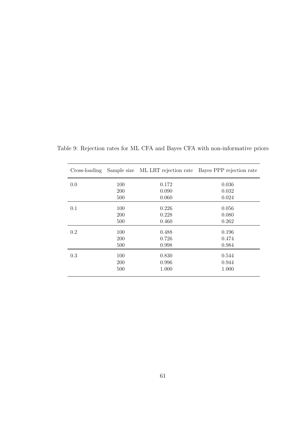|         |     |       | Cross-loading Sample size ML LRT rejection rate Bayes PPP rejection rate |
|---------|-----|-------|--------------------------------------------------------------------------|
| 0.0     | 100 | 0.172 | 0.036                                                                    |
|         | 200 | 0.090 | 0.032                                                                    |
|         | 500 | 0.060 | 0.024                                                                    |
| 0.1     | 100 | 0.226 | 0.056                                                                    |
|         | 200 | 0.228 | 0.080                                                                    |
|         | 500 | 0.460 | 0.262                                                                    |
| $0.2\,$ | 100 | 0.488 | 0.196                                                                    |
|         | 200 | 0.726 | 0.474                                                                    |
|         | 500 | 0.998 | 0.984                                                                    |
| 0.3     | 100 | 0.830 | 0.544                                                                    |
|         | 200 | 0.996 | 0.944                                                                    |
|         | 500 | 1.000 | 1.000                                                                    |

Table 9: Rejection rates for ML CFA and Bayes CFA with non-informative priors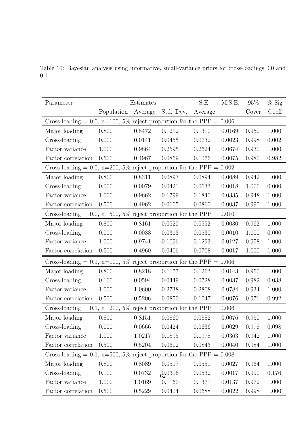| Parameter                                                              |            | Estimates |           | S.E.    | M.S.E. | 95\%  | $%$ Sig |
|------------------------------------------------------------------------|------------|-----------|-----------|---------|--------|-------|---------|
|                                                                        | Population | Average   | Std. Dev. | Average |        | Cover | Coeff   |
| Cross-loading = 0.0, n=100, 5% reject proportion for the PPP = $0.006$ |            |           |           |         |        |       |         |
| Major loading                                                          | 0.800      | 0.8472    | 0.1212    | 0.1310  | 0.0169 | 0.950 | 1.000   |
| Cross-loading                                                          | 0.000      | 0.0141    | 0.0455    | 0.0732  | 0.0023 | 0.998 | 0.002   |
| Factor variance                                                        | 1.000      | 0.9864    | 0.2595    | 0.2624  | 0.0674 | 0.930 | 1.000   |
| Factor correlation                                                     | 0.500      | 0.4967    | 0.0869    | 0.1076  | 0.0075 | 0.980 | 0.982   |
| Cross-loading = 0.0, n=200, 5% reject proportion for the PPP = $0.002$ |            |           |           |         |        |       |         |
| Major loading                                                          | 0.800      | 0.8311    | 0.0893    | 0.0894  | 0.0089 | 0.942 | 1.000   |
| Cross-loading                                                          | 0.000      | 0.0079    | 0.0421    | 0.0633  | 0.0018 | 1.000 | 0.000   |
| Factor variance                                                        | 1.000      | 0.9662    | 0.1799    | 0.1840  | 0.0335 | 0.948 | 1.000   |
| Factor correlation                                                     | 0.500      | 0.4962    | 0.0605    | 0.0860  | 0.0037 | 0.990 | 1.000   |
| Cross-loading = 0.0, n=500, 5% reject proportion for the PPP = $0.010$ |            |           |           |         |        |       |         |
| Major loading                                                          | 0.800      | 0.8161    | 0.0520    | 0.0552  | 0.0030 | 0.962 | 1.000   |
| Cross-loading                                                          | 0.000      | 0.0033    | 0.0313    | 0.0530  | 0.0010 | 1.000 | 0.000   |
| Factor variance                                                        | 1.000      | 0.9741    | 0.1096    | 0.1293  | 0.0127 | 0.958 | 1.000   |
| Factor correlation                                                     | 0.500      | 0.4960    | 0.0406    | 0.0708  | 0.0017 | 1.000 | 1.000   |
| Cross-loading = 0.1, n=100, 5% reject proportion for the PPP = $0.006$ |            |           |           |         |        |       |         |
| Major loading                                                          | 0.800      | 0.8218    | 0.1177    | 0.1263  | 0.0143 | 0.950 | 1.000   |
| Cross-loading                                                          | 0.100      | 0.0594    | 0.0449    | 0.0728  | 0.0037 | 0.982 | 0.038   |
| Factor variance                                                        | 1.000      | 1.0600    | 0.2738    | 0.2808  | 0.0784 | 0.934 | 1.000   |
| Factor correlation                                                     | 0.500      | 0.5206    | 0.0850    | 0.1047  | 0.0076 | 0.976 | 0.992   |
| Cross-loading = 0.1, n=200, 5% reject proportion for the PPP = $0.006$ |            |           |           |         |        |       |         |
| Major loading                                                          | 0.800      | 0.8151    | 0.0860    | 0.0882  | 0.0076 | 0.950 | 1.000   |
| Cross-loading                                                          | 0.000      | 0.0666    | 0.0424    | 0.0636  | 0.0029 | 0.978 | 0.098   |
| Factor variance                                                        | 1.000      | 1.0217    | 0.1895    | 0.1978  | 0.0363 | 0.942 | 1.000   |
| Factor correlation                                                     | 0.500      | 0.5204    | 0.0602    | 0.0843  | 0.0040 | 0.984 | 1.000   |
| Cross-loading = 0.1, n=500, 5% reject proportion for the PPP = $0.008$ |            |           |           |         |        |       |         |
| Major loading                                                          | 0.800      | 0.8089    | 0.0517    | 0.0551  | 0.0027 | 0.964 | 1.000   |
| Cross-loading                                                          | 0.100      | 0.0732    | 60316     | 0.0532  | 0.0017 | 0.990 | 0.176   |
| Factor variance                                                        | 1.000      | 1.0169    | 0.1160    | 0.1371  | 0.0137 | 0.972 | 1.000   |
| Factor correlation                                                     | 0.500      | 0.5229    | 0.0404    | 0.0688  | 0.0022 | 0.998 | 1.000   |

Table 10: Bayesian analysis using informative, small-variance priors for cross-loadings 0.0 and 0.1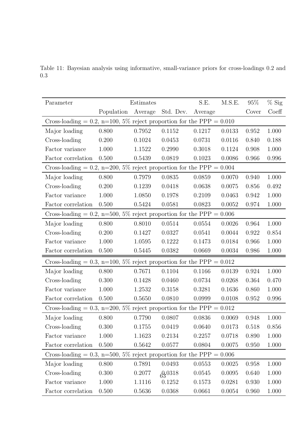| Parameter                                                              |            | Estimates |             | S.E.    | M.S.E. | 95\%  | $%$ Sig |
|------------------------------------------------------------------------|------------|-----------|-------------|---------|--------|-------|---------|
|                                                                        | Population | Average   | Std. Dev.   | Average |        | Cover | Coeff   |
| Cross-loading = 0.2, n=100, 5% reject proportion for the PPP = $0.010$ |            |           |             |         |        |       |         |
| Major loading                                                          | 0.800      | 0.7952    | 0.1152      | 0.1217  | 0.0133 | 0.952 | 1.000   |
| Cross-loading                                                          | 0.200      | 0.1024    | 0.0453      | 0.0731  | 0.0116 | 0.840 | 0.188   |
| Factor variance                                                        | 1.000      | 1.1522    | 0.2990      | 0.3018  | 0.1124 | 0.908 | 1.000   |
| Factor correlation                                                     | 0.500      | 0.5439    | 0.0819      | 0.1023  | 0.0086 | 0.966 | 0.996   |
| Cross-loading = 0.2, n=200, 5% reject proportion for the PPP = $0.004$ |            |           |             |         |        |       |         |
| Major loading                                                          | 0.800      | 0.7979    | 0.0835      | 0.0859  | 0.0070 | 0.940 | 1.000   |
| Cross-loading                                                          | 0.200      | 0.1239    | 0.0418      | 0.0638  | 0.0075 | 0.856 | 0.492   |
| Factor variance                                                        | 1.000      | 1.0850    | 0.1978      | 0.2109  | 0.0463 | 0.942 | 1.000   |
| Factor correlation                                                     | 0.500      | 0.5424    | 0.0581      | 0.0823  | 0.0052 | 0.974 | 1.000   |
| Cross-loading = 0.2, n=500, 5% reject proportion for the PPP = $0.006$ |            |           |             |         |        |       |         |
| Major loading                                                          | 0.800      | 0.8010    | 0.0514      | 0.0554  | 0.0026 | 0.964 | 1.000   |
| Cross-loading                                                          | 0.200      | 0.1427    | 0.0327      | 0.0541  | 0.0044 | 0.922 | 0.854   |
| Factor variance                                                        | 1.000      | 1.0595    | 0.1222      | 0.1473  | 0.0184 | 0.966 | 1.000   |
| Factor correlation                                                     | 0.500      | 0.5445    | 0.0382      | 0.0669  | 0.0034 | 0.986 | 1.000   |
| Cross-loading = 0.3, n=100, 5% reject proportion for the PPP = $0.012$ |            |           |             |         |        |       |         |
| Major loading                                                          | 0.800      | 0.7671    | 0.1104      | 0.1166  | 0.0139 | 0.924 | 1.000   |
| Cross-loading                                                          | 0.300      | 0.1428    | 0.0460      | 0.0734  | 0.0268 | 0.364 | 0.470   |
| Factor variance                                                        | 1.000      | 1.2532    | 0.3158      | 0.3281  | 0.1636 | 0.860 | 1.000   |
| Factor correlation                                                     | 0.500      | 0.5650    | 0.0810      | 0.0999  | 0.0108 | 0.952 | 0.996   |
| Cross-loading = 0.3, n=200, 5% reject proportion for the PPP = $0.012$ |            |           |             |         |        |       |         |
| Major loading                                                          | 0.800      | 0.7790    | 0.0807      | 0.0836  | 0.0069 | 0.948 | 1.000   |
| Cross-loading                                                          | 0.300      | 0.1755    | 0.0419      | 0.0640  | 0.0173 | 0.518 | 0.856   |
| Factor variance                                                        | 1.000      | 1.1623    | 0.2134      | 0.2257  | 0.0718 | 0.890 | 1.000   |
| Factor correlation                                                     | 0.500      | 0.5642    | 0.0577      | 0.0804  | 0.0075 | 0.950 | 1.000   |
| Cross-loading = 0.3, n=500, 5% reject proportion for the PPP = $0.006$ |            |           |             |         |        |       |         |
| Major loading                                                          | 0.800      | 0.7891    | 0.0493      | 0.0553  | 0.0025 | 0.958 | 1.000   |
| Cross-loading                                                          | 0.300      | 0.2077    | $63^{0318}$ | 0.0545  | 0.0095 | 0.640 | 1.000   |
| Factor variance                                                        | 1.000      | 1.1116    | 0.1252      | 0.1573  | 0.0281 | 0.930 | 1.000   |
| Factor correlation                                                     | 0.500      | 0.5636    | 0.0368      | 0.0661  | 0.0054 | 0.960 | 1.000   |

Table 11: Bayesian analysis using informative, small-variance priors for cross-loadings 0.2 and 0.3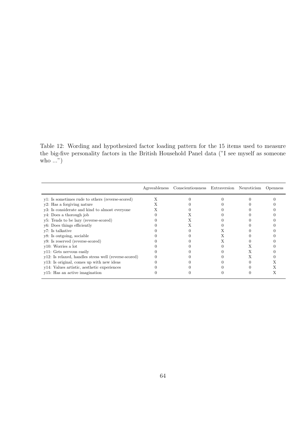Table 12: Wording and hypothesized factor loading pattern for the 15 items used to measure the big-five personality factors in the British Household Panel data ("I see myself as someone who ...")

|                                                       | Agreeableness Conscientiousness Extraversion Neuroticism Openness |  |  |
|-------------------------------------------------------|-------------------------------------------------------------------|--|--|
| y1: Is sometimes rude to others (reverse-scored)      |                                                                   |  |  |
| y2: Has a forgiving nature                            |                                                                   |  |  |
| y3: Is considerate and kind to almost everyone        |                                                                   |  |  |
| y4: Does a thorough job                               |                                                                   |  |  |
| y5: Tends to be lazy (reverse-scored)                 |                                                                   |  |  |
| y <sub>6</sub> : Does things efficiently              |                                                                   |  |  |
| y7: Is talkative                                      |                                                                   |  |  |
| y8: Is outgoing, sociable                             |                                                                   |  |  |
| y9: Is reserved (reverse-scored)                      |                                                                   |  |  |
| y10: Worries a lot                                    |                                                                   |  |  |
| y11: Gets nervous easily                              |                                                                   |  |  |
| y12: Is relaxed, handles stress well (reverse-scored) |                                                                   |  |  |
| y13: Is original, comes up with new ideas             |                                                                   |  |  |
| y14: Values artistic, aesthetic experiences           |                                                                   |  |  |
| y15: Has an active imagination                        |                                                                   |  |  |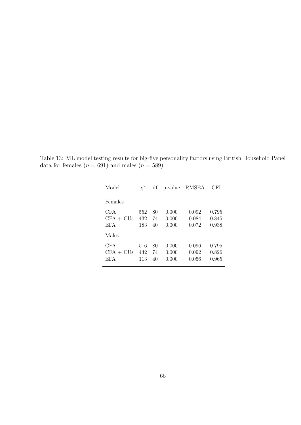| Model                                            | $\chi^2$          | df             | p-value                 | RMSEA                   | CFI                     |
|--------------------------------------------------|-------------------|----------------|-------------------------|-------------------------|-------------------------|
| Females                                          |                   |                |                         |                         |                         |
| <b>CFA</b><br>$CFA + CUs$<br><b>EFA</b>          | 552<br>432<br>183 | 80<br>74<br>40 | 0.000<br>0.000<br>0.000 | 0.092<br>0.084<br>0.072 | 0.795<br>0.845<br>0.938 |
| Males<br><b>CFA</b><br>$CFA + CUs$<br><b>EFA</b> | 516<br>442<br>113 | 80<br>74<br>40 | 0.000<br>0.000<br>0.000 | 0.096<br>0.092<br>0.056 | 0.795<br>0.826<br>0.965 |

Table 13: ML model testing results for big-five personality factors using British Household Panel data for females  $(n = 691)$  and males  $(n = 589)$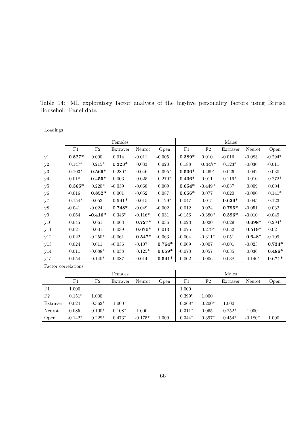Table 14: ML exploratory factor analysis of the big-five personality factors using British Household Panel data

| Loadings |  |
|----------|--|
|          |  |

|                     |                |           | Females     |             |             |             |             | Males       |           |             |
|---------------------|----------------|-----------|-------------|-------------|-------------|-------------|-------------|-------------|-----------|-------------|
|                     | F1             | $\rm F2$  | Extraver    | Neurot      | Open        | F1          | F2          | Extraver    | Neurot    | Open        |
| y1                  | $0.827*$       | 0.000     | 0.014       | $-0.011$    | $-0.005$    | $0.389*$    | 0.010       | $-0.016$    | $-0.083$  | $-0.294*$   |
| y2                  | $0.147*$       | $0.215*$  | $0.323*$    | $0.033\,$   | $0.020\,$   | 0.188       | $0.447*$    | $0.123*$    | $-0.030$  | $-0.011$    |
| y3                  | $0.103^{\ast}$ | $0.569*$  | $0.280*$    | 0.046       | $-0.095*$   | $0.506*$    | $0.469*$    | 0.026       | 0.042     | $-0.030$    |
| y4                  | 0.018          | $0.455*$  | $-0.003$    | $-0.025$    | $0.270*$    | $0.406*$    | $-0.011$    | $0.119*$    | 0.010     | $0.272*$    |
| y <sub>5</sub>      | $0.365*$       | $0.220*$  | $-0.039$    | $-0.068$    | $0.009\,$   | $0.654*$    | $-0.449*$   | $-0.037$    | 0.009     | $0.004\,$   |
| y <sub>6</sub>      | $-0.016$       | $0.852*$  | 0.001       | $-0.052$    | 0.087       | $0.656*$    | 0.077       | 0.020       | $-0.090$  | $0.141*$    |
| y7                  | $-0.154*$      | 0.053     | $0.541*$    | $\,0.015\,$ | $0.129*$    | 0.047       | $\,0.015\,$ | $0.629*$    | $0.045\,$ | $0.123\,$   |
| y8                  | $-0.041$       | $-0.024$  | $0.748*$    | $-0.049$    | $-0.002$    | 0.012       | $\,0.024\,$ | $0.795*$    | $-0.051$  | $\,0.032\,$ |
| y9                  | 0.064          | $-0.416*$ | $0.346*$    | $-0.116*$   | $\,0.031\,$ | $-0.156$    | $-0.380*$   | $0.396*$    | $-0.010$  | $-0.049$    |
| y10                 | $-0.045$       | 0.061     | $\,0.063\,$ | $0.727*$    | 0.036       | $\,0.023\,$ | 0.020       | $-0.029$    | $0.698*$  | $0.294*$    |
| y11                 | 0.021          | 0.001     | $-0.039$    | $0.670*$    | 0.013       | $-0.075$    | $0.279*$    | $-0.052$    | $0.519*$  | 0.021       |
| y12                 | 0.022          | $-0.250*$ | $-0.061$    | $0.547*$    | $-0.063$    | $-0.004$    | $-0.311*$   | $\,0.051\,$ | $0.648*$  | $-0.109$    |
| y13                 | $0.024\,$      | $0.011\,$ | $-0.036$    | $-0.107$    | $0.764*$    | 0.069       | $-0.007$    | $-0.001$    | $-0.023$  | $0.734*$    |
| y14                 | 0.011          | $-0.088*$ | 0.038       | $0.125*$    | $0.659*$    | $-0.073$    | $0.057\,$   | $\,0.035\,$ | $0.036\,$ | $0.486*$    |
| y15                 | $-0.054$       | $0.140*$  | 0.087       | $-0.014$    | $0.541*$    | 0.002       | $0.006\,$   | $0.038\,$   | $-0.146*$ | $0.671*$    |
| Factor correlations |                |           |             |             |             |             |             |             |           |             |
|                     |                |           | Females     |             |             |             |             | Males       |           |             |
|                     | $\rm F1$       | $\rm F2$  | Extraver    | Neurot      | Open        | $\rm F1$    | F2          | Extraver    | Neurot    | Open        |
| F1                  | $1.000\,$      |           |             |             |             | 1.000       |             |             |           |             |
| F2                  | $0.151*$       | 1.000     |             |             |             | $0.399*$    | 1.000       |             |           |             |
| Extraver            | $-0.024$       | $0.362*$  | 1.000       |             |             | $0.268*$    | $0.200*$    | 1.000       |           |             |

Open  $-0.142^*$   $0.229^*$   $0.473^*$   $-0.175^*$   $1.000$   $0.344^*$   $0.397^*$   $0.454^*$   $-0.180^*$   $1.000$ 

Neurot -0.085  $0.100^*$  -0.108\* 1.000  $\Big|$  -0.311\* 0.065 -0.252\* 1.000